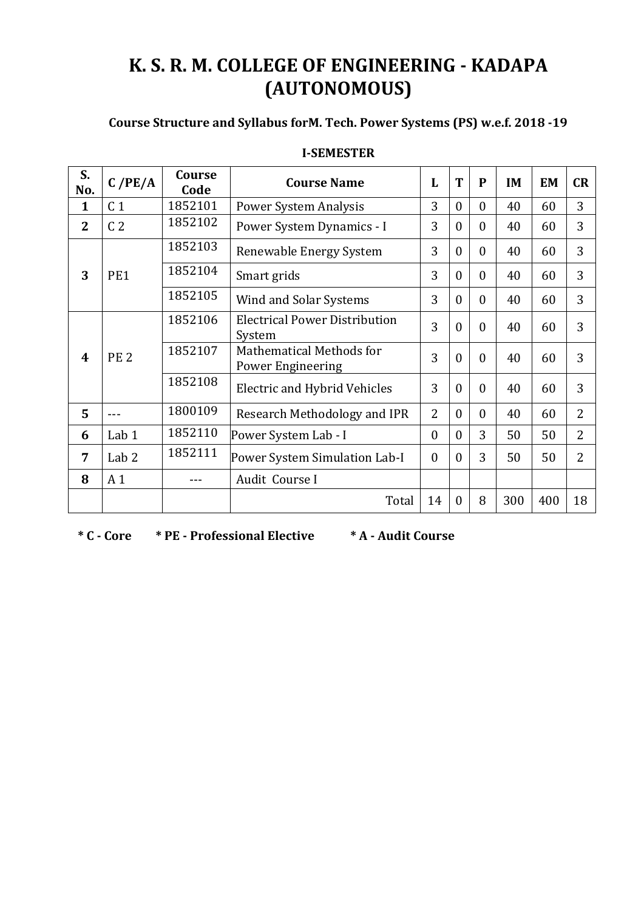# **K. S. R. M. COLLEGE OF ENGINEERING - KADAPA (AUTONOMOUS)**

## **Course Structure and Syllabus forM. Tech. Power Systems (PS) w.e.f. 2018 -19**

| S.<br>No.      | $C$ /PE/A        | Course<br>Code | <b>Course Name</b>                             | L                | T              | ${\bf P}$    | <b>IM</b> | <b>EM</b> | CR             |
|----------------|------------------|----------------|------------------------------------------------|------------------|----------------|--------------|-----------|-----------|----------------|
| $\mathbf{1}$   | C <sub>1</sub>   | 1852101        | Power System Analysis                          | 3                | $\mathbf{0}$   | $\theta$     | 40        | 60        | 3              |
| $\overline{2}$ | C <sub>2</sub>   | 1852102        | Power System Dynamics - I                      | 3                | $\theta$       | $\theta$     | 40        | 60        | 3              |
|                |                  | 1852103        | Renewable Energy System                        | 3                | $\mathbf{0}$   | $\mathbf{0}$ | 40        | 60        | 3              |
| 3              | PE1              | 1852104        | Smart grids                                    | 3                | $\mathbf{0}$   | $\theta$     | 40        | 60        | 3              |
|                |                  | 1852105        | Wind and Solar Systems                         | 3                | $\theta$       | $\theta$     | 40        | 60        | 3              |
|                |                  | 1852106        | <b>Electrical Power Distribution</b><br>System | 3                | $\theta$       | $\theta$     | 40        | 60        | 3              |
| 4              | <b>PE 2</b>      | 1852107        | Mathematical Methods for<br>Power Engineering  | 3                | $\theta$       | $\theta$     | 40        | 60        | 3              |
|                |                  | 1852108        | <b>Electric and Hybrid Vehicles</b>            | 3                | $\overline{0}$ | $\theta$     | 40        | 60        | 3              |
| 5              |                  | 1800109        | Research Methodology and IPR                   | $\overline{2}$   | $\theta$       | $\theta$     | 40        | 60        | $\overline{2}$ |
| 6              | Lab <sub>1</sub> | 1852110        | Power System Lab - I                           | $\boldsymbol{0}$ | $\theta$       | 3            | 50        | 50        | $\overline{2}$ |
| 7              | Lab <sub>2</sub> | 1852111        | Power System Simulation Lab-I                  | $\theta$         | $\theta$       | 3            | 50        | 50        | $\overline{2}$ |
| 8              | A <sub>1</sub>   |                | Audit Course I                                 |                  |                |              |           |           |                |
|                |                  |                | Total                                          | 14               | $\theta$       | 8            | 300       | 400       | 18             |

#### **I-SEMESTER**

**\* C - Core \* PE - Professional Elective \* A - Audit Course**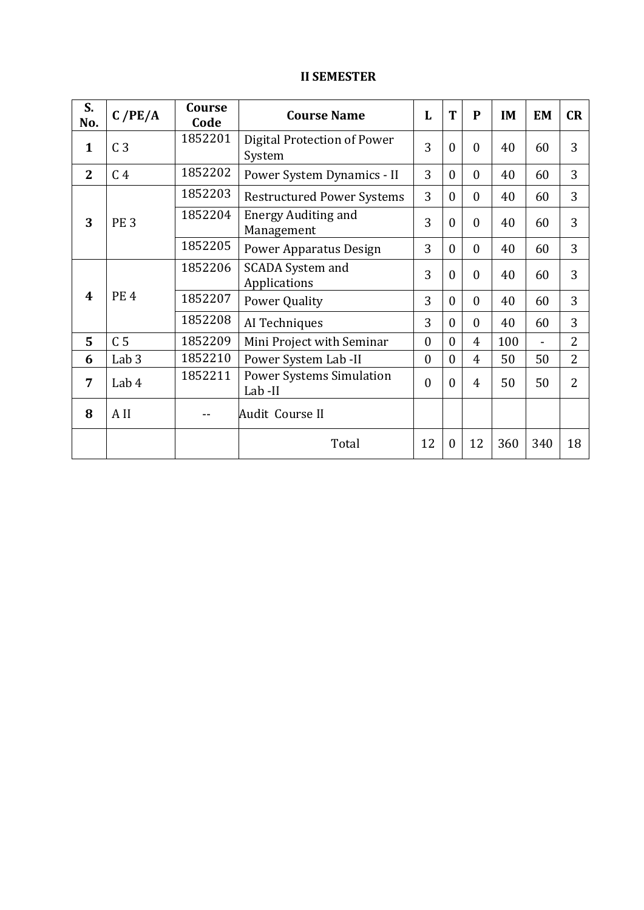### **II SEMESTER**

| S.<br>No.    | C/PE/A           | Course<br>Code | <b>Course Name</b>                        | L                | T                | $\mathbf{P}$ | IM  | <b>EM</b> | CR             |
|--------------|------------------|----------------|-------------------------------------------|------------------|------------------|--------------|-----|-----------|----------------|
| $\mathbf{1}$ | C <sub>3</sub>   | 1852201        | Digital Protection of Power<br>System     | 3                | $\theta$         | $\theta$     | 40  | 60        | 3              |
| $\mathbf{2}$ | C <sub>4</sub>   | 1852202        | Power System Dynamics - II                | 3                | $\theta$         | $\theta$     | 40  | 60        | 3              |
|              |                  | 1852203        | <b>Restructured Power Systems</b>         | 3                | $\theta$         | $\theta$     | 40  | 60        | 3              |
| 3            | <b>PE3</b>       | 1852204        | <b>Energy Auditing and</b><br>Management  | 3                | $\boldsymbol{0}$ | $\mathbf{0}$ | 40  | 60        | 3              |
|              |                  | 1852205        | <b>Power Apparatus Design</b>             | 3                | $\theta$         | $\theta$     | 40  | 60        | 3              |
|              |                  | 1852206        | <b>SCADA System and</b><br>Applications   | 3                | $\theta$         | $\Omega$     | 40  | 60        | 3              |
| 4            | <b>PE4</b>       | 1852207        | <b>Power Quality</b>                      | 3                | $\theta$         | $\mathbf{0}$ | 40  | 60        | 3              |
|              |                  | 1852208        | AI Techniques                             | 3                | $\theta$         | $\theta$     | 40  | 60        | 3              |
| 5            | C <sub>5</sub>   | 1852209        | Mini Project with Seminar                 | $\boldsymbol{0}$ | $\theta$         | 4            | 100 | -         | $\overline{2}$ |
| 6            | Lab <sub>3</sub> | 1852210        | Power System Lab -II                      | $\boldsymbol{0}$ | $\overline{0}$   | 4            | 50  | 50        | $\overline{2}$ |
| 7            | Lab 4            | 1852211        | <b>Power Systems Simulation</b><br>Lab-II | $\mathbf{0}$     | $\Omega$         | 4            | 50  | 50        | $\overline{2}$ |
| 8            | A II             |                | Audit Course II                           |                  |                  |              |     |           |                |
|              |                  |                | Total                                     | 12               | $\theta$         | 12           | 360 | 340       | 18             |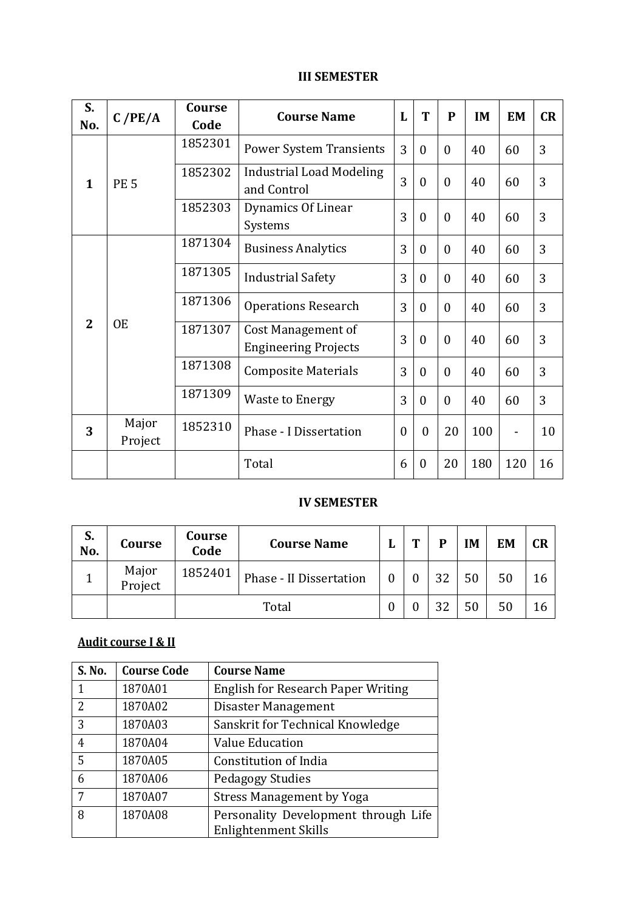#### **III SEMESTER**

| S.<br>No.    | C/PE/A           | Course<br>Code | <b>Course Name</b>                                | L        | T                    | $\mathbf{P}$     | <b>IM</b> | <b>EM</b> | CR |
|--------------|------------------|----------------|---------------------------------------------------|----------|----------------------|------------------|-----------|-----------|----|
|              |                  | 1852301        | <b>Power System Transients</b>                    | 3        | $\theta$             | $\theta$         | 40        | 60        | 3  |
| $\mathbf{1}$ | <b>PE 5</b>      | 1852302        | <b>Industrial Load Modeling</b><br>and Control    | 3        | $\overline{0}$       | $\boldsymbol{0}$ | 40        | 60        | 3  |
|              |                  | 1852303        | Dynamics Of Linear<br>Systems                     | 3        | $\mathbf{0}$         | $\boldsymbol{0}$ | 40        | 60        | 3  |
|              |                  | 1871304        | <b>Business Analytics</b>                         | 3        | $\overline{0}$       | $\boldsymbol{0}$ | 40        | 60        | 3  |
|              |                  | 1871305        | <b>Industrial Safety</b>                          | 3        | $\overline{0}$       | $\theta$         | 40        | 60        | 3  |
|              |                  | 1871306        | <b>Operations Research</b>                        | 3        | $\theta$             | 0                | 40        | 60        | 3  |
| $\mathbf{2}$ | <b>OE</b>        | 1871307        | Cost Management of<br><b>Engineering Projects</b> | 3        | $\overline{0}$       | $\theta$         | 40        | 60        | 3  |
|              |                  | 1871308        | <b>Composite Materials</b>                        | 3        | $\theta$<br>$\theta$ |                  | 40        | 60        | 3  |
|              |                  | 1871309        | <b>Waste to Energy</b>                            | 3        | $\mathbf{0}$         | $\boldsymbol{0}$ | 40        | 60        | 3  |
| 3            | Major<br>Project | 1852310        | Phase - I Dissertation                            | $\theta$ | $\mathbf{0}$         | 20               | 100       | -         | 10 |
|              |                  |                | Total                                             | 6        | $\mathbf{0}$         | 20               | 180       | 120       | 16 |

#### **IV SEMESTER**

| S.<br>No. | Course           | Course<br>Code | <b>Course Name</b>      | m | D  | <b>IM</b> | EM | CR |
|-----------|------------------|----------------|-------------------------|---|----|-----------|----|----|
|           | Major<br>Project | 1852401        | Phase - II Dissertation |   | っつ | 50        | 50 |    |
|           |                  |                | Total                   |   | າາ | 50        |    |    |

## **Audit course I & II**

| S. No. | <b>Course Code</b> | <b>Course Name</b>                        |
|--------|--------------------|-------------------------------------------|
| 1      | 1870A01            | <b>English for Research Paper Writing</b> |
| 2      | 1870A02            | Disaster Management                       |
| 3      | 1870A03            | Sanskrit for Technical Knowledge          |
| 4      | 1870A04            | Value Education                           |
| 5      | 1870A05            | Constitution of India                     |
| 6      | 1870A06            | <b>Pedagogy Studies</b>                   |
| 7      | 1870A07            | <b>Stress Management by Yoga</b>          |
| 8      | 1870A08            | Personality Development through Life      |
|        |                    | Enlightenment Skills                      |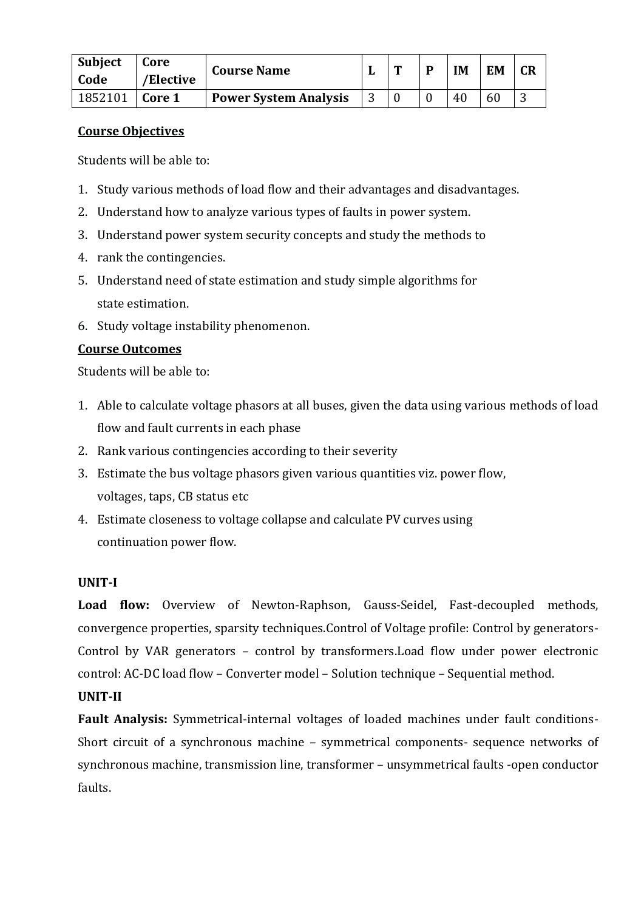| <b>Subject</b><br>Code | Core<br>/Elective | <b>Course Name</b>           | m | <b>IM</b> | <b>EM</b> | <b>CR</b> |
|------------------------|-------------------|------------------------------|---|-----------|-----------|-----------|
| 1852101                | Core 1            | <b>Power System Analysis</b> |   | 40        | 60        |           |

Students will be able to:

- 1. Study various methods of load flow and their advantages and disadvantages.
- 2. Understand how to analyze various types of faults in power system.
- 3. Understand power system security concepts and study the methods to
- 4. rank the contingencies.
- 5. Understand need of state estimation and study simple algorithms for state estimation.
- 6. Study voltage instability phenomenon.

#### **Course Outcomes**

Students will be able to:

- 1. Able to calculate voltage phasors at all buses, given the data using various methods of load flow and fault currents in each phase
- 2. Rank various contingencies according to their severity
- 3. Estimate the bus voltage phasors given various quantities viz. power flow, voltages, taps, CB status etc
- 4. Estimate closeness to voltage collapse and calculate PV curves using continuation power flow.

#### **UNIT-I**

**Load flow:** Overview of Newton-Raphson, Gauss-Seidel, Fast-decoupled methods, convergence properties, sparsity techniques.Control of Voltage profile: Control by generators-Control by VAR generators – control by transformers.Load flow under power electronic control: AC-DC load flow – Converter model – Solution technique – Sequential method.

#### **UNIT-II**

**Fault Analysis:** Symmetrical-internal voltages of loaded machines under fault conditions-Short circuit of a synchronous machine – symmetrical components- sequence networks of synchronous machine, transmission line, transformer – unsymmetrical faults -open conductor faults.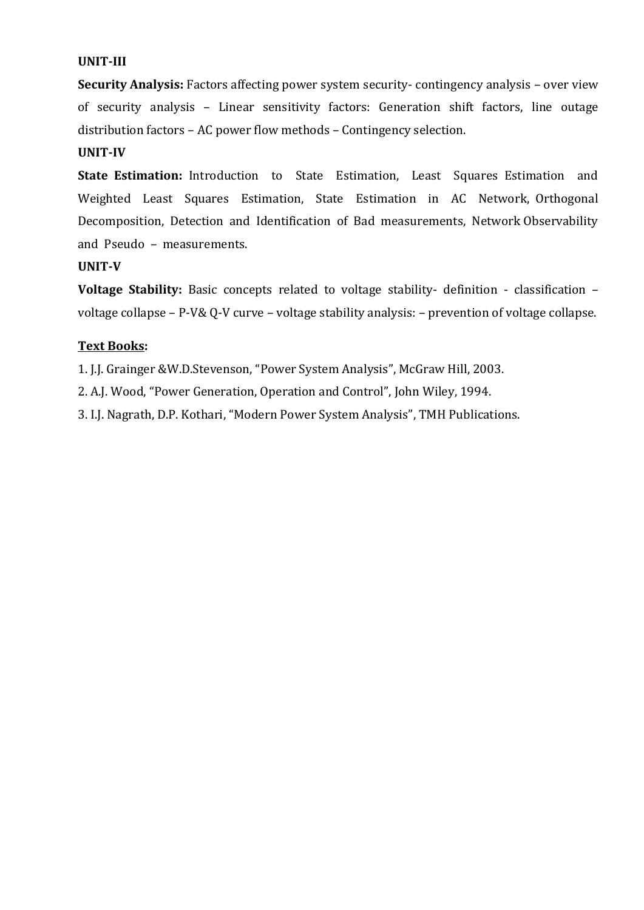#### **UNIT-III**

**Security Analysis:** Factors affecting power system security- contingency analysis – over view of security analysis – Linear sensitivity factors: Generation shift factors, line outage distribution factors – AC power flow methods – Contingency selection.

#### **UNIT-IV**

**State Estimation:** Introduction to State Estimation, Least Squares Estimation and Weighted Least Squares Estimation, State Estimation in AC Network, Orthogonal Decomposition, Detection and Identification of Bad measurements, Network Observability and Pseudo – measurements.

#### **UNIT-V**

**Voltage Stability:** Basic concepts related to voltage stability- definition - classification – voltage collapse – P-V& Q-V curve – voltage stability analysis: – prevention of voltage collapse.

#### **Text Books:**

1. J.J. Grainger &W.D.Stevenson, "Power System Analysis", McGraw Hill, 2003.

2. A.J. Wood, "Power Generation, Operation and Control", John Wiley, 1994.

3. I.J. Nagrath, D.P. Kothari, "Modern Power System Analysis", TMH Publications.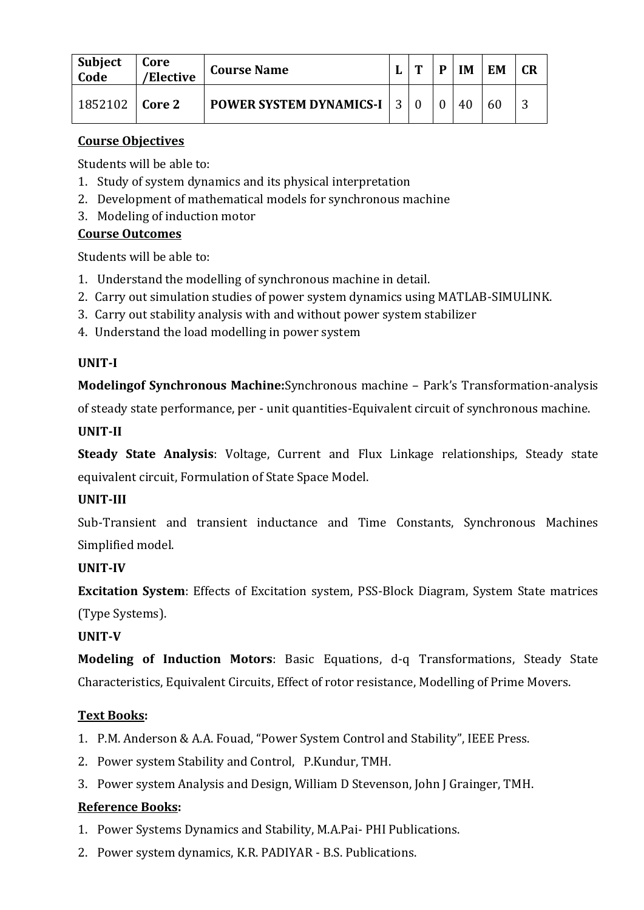| <b>Subject</b><br>Code | Core<br>/Elective | <b>Course Name</b>               | m | D | <b>IM</b> | EM | <b>CR</b> |
|------------------------|-------------------|----------------------------------|---|---|-----------|----|-----------|
| 1852102                | Core 2            | <b>POWER SYSTEM DYNAMICS-I 3</b> |   |   | 40        | 60 |           |

Students will be able to:

- 1. Study of system dynamics and its physical interpretation
- 2. Development of mathematical models for synchronous machine
- 3. Modeling of induction motor

### **Course Outcomes**

Students will be able to:

- 1. Understand the modelling of synchronous machine in detail.
- 2. Carry out simulation studies of power system dynamics using MATLAB-SIMULINK.
- 3. Carry out stability analysis with and without power system stabilizer
- 4. Understand the load modelling in power system

### **UNIT-I**

**Modelingof Synchronous Machine:**Synchronous machine – Park's Transformation-analysis

of steady state performance, per - unit quantities-Equivalent circuit of synchronous machine.

### **UNIT-II**

**Steady State Analysis**: Voltage, Current and Flux Linkage relationships, Steady state equivalent circuit, Formulation of State Space Model.

### **UNIT-III**

Sub-Transient and transient inductance and Time Constants, Synchronous Machines Simplified model.

## **UNIT-IV**

**Excitation System**: Effects of Excitation system, PSS-Block Diagram, System State matrices (Type Systems).

## **UNIT-V**

**Modeling of Induction Motors**: Basic Equations, d-q Transformations, Steady State Characteristics, Equivalent Circuits, Effect of rotor resistance, Modelling of Prime Movers.

### **Text Books:**

- 1. P.M. Anderson & A.A. Fouad, "Power System Control and Stability", IEEE Press.
- 2. Power system Stability and Control, P.Kundur, TMH.
- 3. Power system Analysis and Design, William D Stevenson, John J Grainger, TMH.

## **Reference Books:**

- 1. Power Systems Dynamics and Stability, M.A.Pai- PHI Publications.
- 2. Power system dynamics, K.R. PADIYAR B.S. Publications.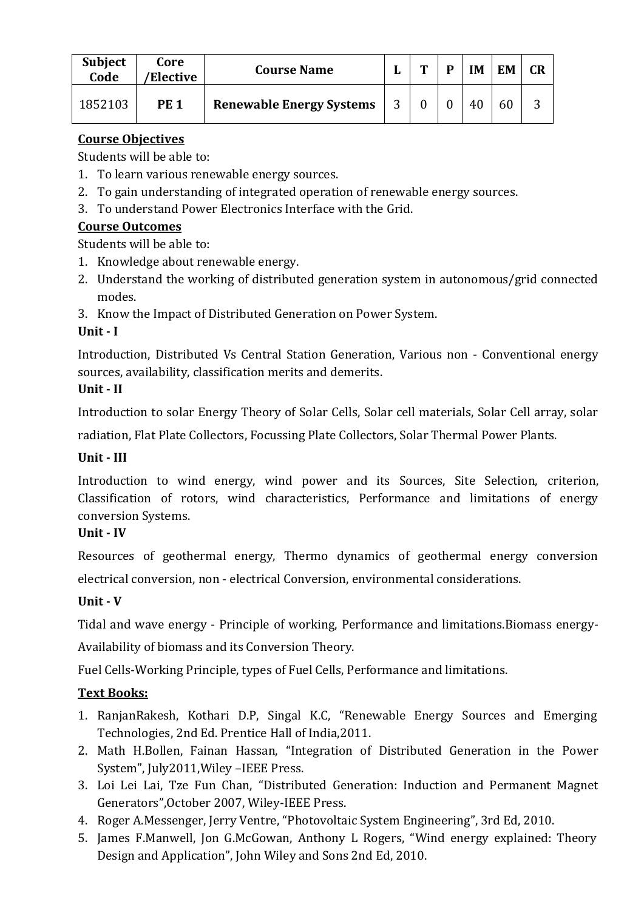| <b>Subject</b><br>Code | Core<br>'Elective | <b>Course Name</b>              | ш | m | D | IM | <b>EM</b> | <b>CR</b> |
|------------------------|-------------------|---------------------------------|---|---|---|----|-----------|-----------|
| 1852103                | <b>PE 1</b>       | <b>Renewable Energy Systems</b> | 3 |   |   | 40 | 60        |           |

Students will be able to:

- 1. To learn various renewable energy sources.
- 2. To gain understanding of integrated operation of renewable energy sources.
- 3. To understand Power Electronics Interface with the Grid.

## **Course Outcomes**

Students will be able to:

- 1. Knowledge about renewable energy.
- 2. Understand the working of distributed generation system in autonomous/grid connected modes.
- 3. Know the Impact of Distributed Generation on Power System.

## **Unit - I**

Introduction, Distributed Vs Central Station Generation, Various non - Conventional energy sources, availability, classification merits and demerits.

### **Unit - II**

Introduction to solar Energy Theory of Solar Cells, Solar cell materials, Solar Cell array, solar

radiation, Flat Plate Collectors, Focussing Plate Collectors, Solar Thermal Power Plants.

### **Unit - III**

Introduction to wind energy, wind power and its Sources, Site Selection, criterion, Classification of rotors, wind characteristics, Performance and limitations of energy conversion Systems.

### **Unit - IV**

Resources of geothermal energy, Thermo dynamics of geothermal energy conversion electrical conversion, non - electrical Conversion, environmental considerations.

## **Unit - V**

Tidal and wave energy - Principle of working, Performance and limitations.Biomass energy-

Availability of biomass and its Conversion Theory.

Fuel Cells-Working Principle, types of Fuel Cells, Performance and limitations.

## **Text Books:**

- 1. RanjanRakesh, Kothari D.P, Singal K.C, "Renewable Energy Sources and Emerging Technologies, 2nd Ed. Prentice Hall of India,2011.
- 2. Math H.Bollen, Fainan Hassan, "Integration of Distributed Generation in the Power System", July2011,Wiley –IEEE Press.
- 3. Loi Lei Lai, Tze Fun Chan, "Distributed Generation: Induction and Permanent Magnet Generators",October 2007, Wiley-IEEE Press.
- 4. Roger A.Messenger, Jerry Ventre, "Photovoltaic System Engineering", 3rd Ed, 2010.
- 5. James F.Manwell, Jon G.McGowan, Anthony L Rogers, "Wind energy explained: Theory Design and Application", John Wiley and Sons 2nd Ed, 2010.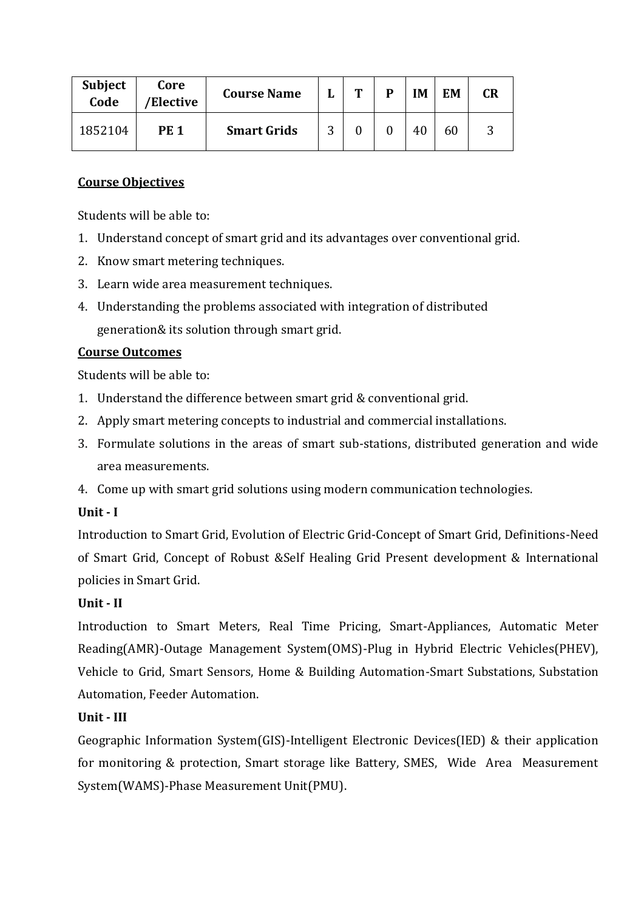| <b>Subject</b><br>Code | Core<br>/Elective | <b>Course Name</b> |   | Т | D | IM | EM | <b>CR</b> |
|------------------------|-------------------|--------------------|---|---|---|----|----|-----------|
| 1852104                | <b>PE 1</b>       | <b>Smart Grids</b> | ◠ |   |   | 40 | 60 |           |

Students will be able to:

- 1. Understand concept of smart grid and its advantages over conventional grid.
- 2. Know smart metering techniques.
- 3. Learn wide area measurement techniques.
- 4. Understanding the problems associated with integration of distributed generation& its solution through smart grid.

### **Course Outcomes**

Students will be able to:

- 1. Understand the difference between smart grid & conventional grid.
- 2. Apply smart metering concepts to industrial and commercial installations.
- 3. Formulate solutions in the areas of smart sub-stations, distributed generation and wide area measurements.
- 4. Come up with smart grid solutions using modern communication technologies.

## **Unit - I**

Introduction to Smart Grid, Evolution of Electric Grid-Concept of Smart Grid, Definitions-Need of Smart Grid, Concept of Robust &Self Healing Grid Present development & International policies in Smart Grid.

## **Unit - II**

Introduction to Smart Meters, Real Time Pricing, Smart-Appliances, Automatic Meter Reading(AMR)-Outage Management System(OMS)-Plug in Hybrid Electric Vehicles(PHEV), Vehicle to Grid, Smart Sensors, Home & Building Automation-Smart Substations, Substation Automation, Feeder Automation.

## **Unit - III**

Geographic Information System(GIS)-Intelligent Electronic Devices(IED) & their application for monitoring & protection, Smart storage like Battery, SMES, Wide Area Measurement System(WAMS)-Phase Measurement Unit(PMU).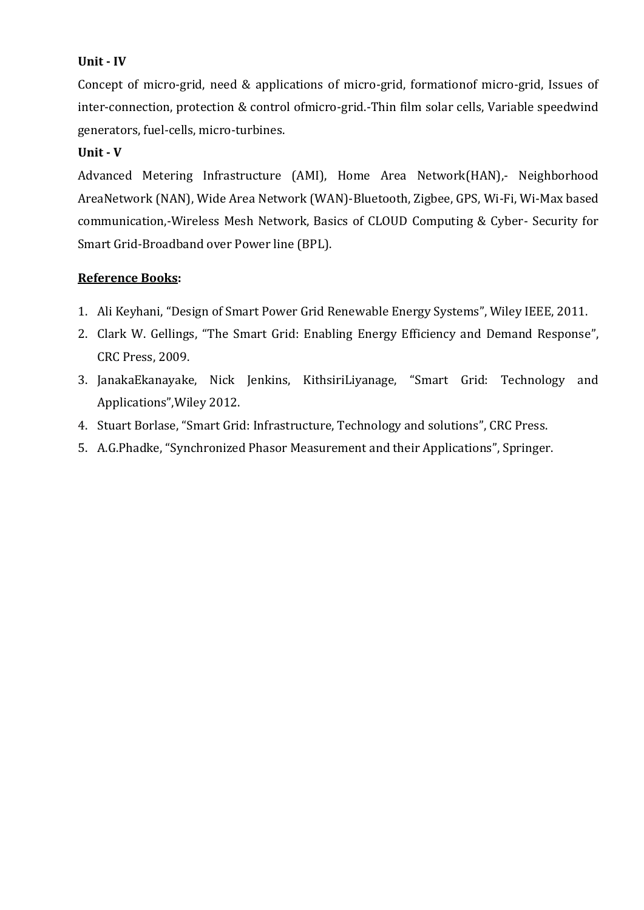### **Unit - IV**

Concept of micro-grid, need & applications of micro-grid, formationof micro-grid, Issues of inter-connection, protection & control ofmicro-grid.-Thin film solar cells, Variable speedwind generators, fuel-cells, micro-turbines.

#### **Unit - V**

Advanced Metering Infrastructure (AMI), Home Area Network(HAN),- Neighborhood AreaNetwork (NAN), Wide Area Network (WAN)-Bluetooth, Zigbee, GPS, Wi-Fi, Wi-Max based communication,-Wireless Mesh Network, Basics of CLOUD Computing & Cyber- Security for Smart Grid-Broadband over Power line (BPL).

#### **Reference Books:**

- 1. Ali Keyhani, "Design of Smart Power Grid Renewable Energy Systems", Wiley IEEE, 2011.
- 2. Clark W. Gellings, "The Smart Grid: Enabling Energy Efficiency and Demand Response", CRC Press, 2009.
- 3. JanakaEkanayake, Nick Jenkins, KithsiriLiyanage, "Smart Grid: Technology and Applications",Wiley 2012.
- 4. Stuart Borlase, "Smart Grid: Infrastructure, Technology and solutions", CRC Press.
- 5. A.G.Phadke, "Synchronized Phasor Measurement and their Applications", Springer.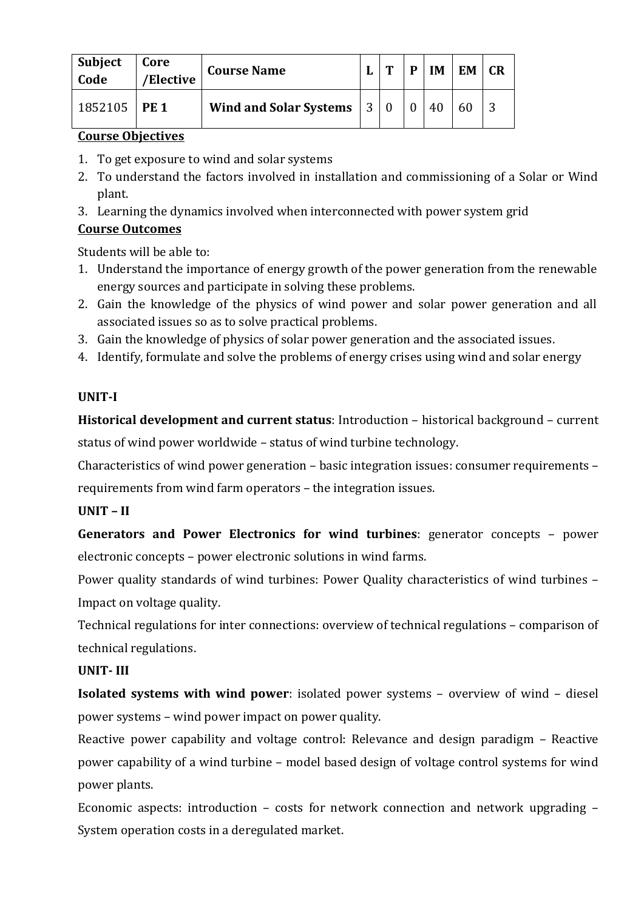| Subject<br>Code | Core<br>/Elective | <b>Course Name</b>            |           | D | IΜ | <b>EM</b> | CR |
|-----------------|-------------------|-------------------------------|-----------|---|----|-----------|----|
| 1852105         | <b>PE 1</b>       | <b>Wind and Solar Systems</b> | $\vert$ 3 |   | 40 |           |    |

- 1. To get exposure to wind and solar systems
- 2. To understand the factors involved in installation and commissioning of a Solar or Wind plant.
- 3. Learning the dynamics involved when interconnected with power system grid

### **Course Outcomes**

Students will be able to:

- 1. Understand the importance of energy growth of the power generation from the renewable energy sources and participate in solving these problems.
- 2. Gain the knowledge of the physics of wind power and solar power generation and all associated issues so as to solve practical problems.
- 3. Gain the knowledge of physics of solar power generation and the associated issues.
- 4. Identify, formulate and solve the problems of energy crises using wind and solar energy

### **UNIT-I**

**Historical development and current status**: Introduction – historical background – current

status of wind power worldwide – status of wind turbine technology.

Characteristics of wind power generation – basic integration issues: consumer requirements – requirements from wind farm operators – the integration issues.

### **UNIT – II**

**Generators and Power Electronics for wind turbines**: generator concepts – power electronic concepts – power electronic solutions in wind farms.

Power quality standards of wind turbines: Power Quality characteristics of wind turbines – Impact on voltage quality.

Technical regulations for inter connections: overview of technical regulations – comparison of technical regulations.

### **UNIT- III**

**Isolated systems with wind power**: isolated power systems – overview of wind – diesel power systems – wind power impact on power quality.

Reactive power capability and voltage control: Relevance and design paradigm – Reactive power capability of a wind turbine – model based design of voltage control systems for wind power plants.

Economic aspects: introduction – costs for network connection and network upgrading – System operation costs in a deregulated market.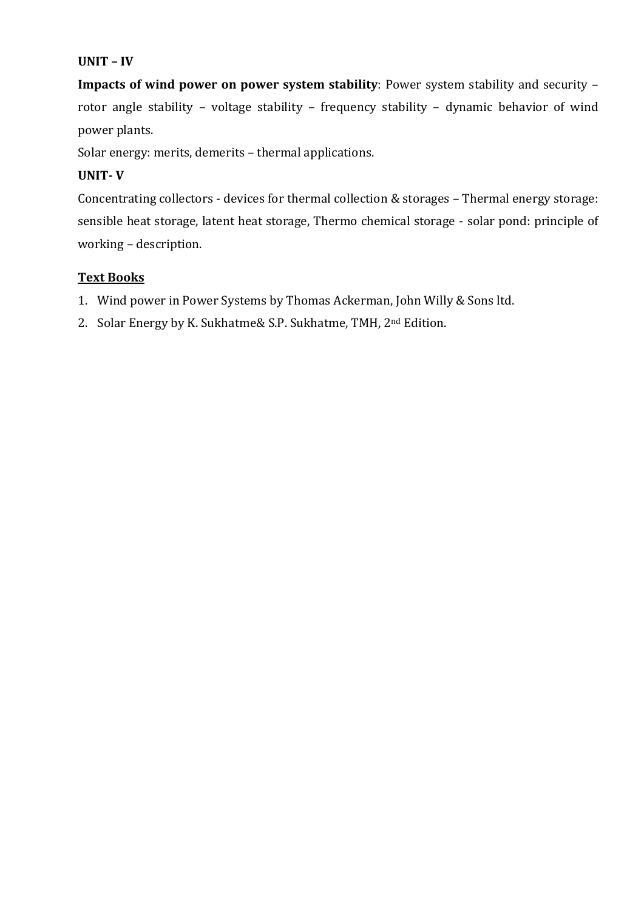#### **UNIT – IV**

**Impacts of wind power on power system stability**: Power system stability and security – rotor angle stability – voltage stability – frequency stability – dynamic behavior of wind power plants.

Solar energy: merits, demerits – thermal applications.

#### **UNIT- V**

Concentrating collectors - devices for thermal collection & storages – Thermal energy storage: sensible heat storage, latent heat storage, Thermo chemical storage - solar pond: principle of working – description.

#### **Text Books**

- 1. Wind power in Power Systems by Thomas Ackerman, John Willy & Sons ltd.
- 2. Solar Energy by K. Sukhatme& S.P. Sukhatme, TMH, 2<sup>nd</sup> Edition.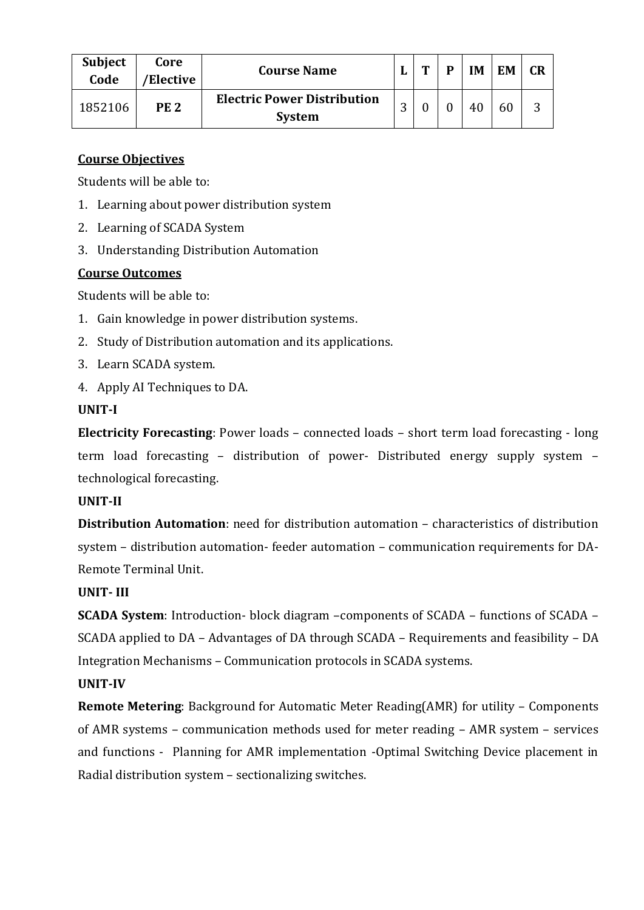| <b>Subject</b><br>Code | Core<br>'Elective | <b>Course Name</b>                                  |   | m | D | IM | EM | CR |
|------------------------|-------------------|-----------------------------------------------------|---|---|---|----|----|----|
| 1852106                | PE 2              | <b>Electric Power Distribution</b><br><b>System</b> | n |   |   | 40 | 60 | ⌒  |

Students will be able to:

- 1. Learning about power distribution system
- 2. Learning of SCADA System
- 3. Understanding Distribution Automation

#### **Course Outcomes**

Students will be able to:

- 1. Gain knowledge in power distribution systems.
- 2. Study of Distribution automation and its applications.
- 3. Learn SCADA system.
- 4. Apply AI Techniques to DA.

#### **UNIT-I**

**Electricity Forecasting**: Power loads – connected loads – short term load forecasting - long term load forecasting – distribution of power- Distributed energy supply system – technological forecasting.

#### **UNIT-II**

**Distribution Automation**: need for distribution automation – characteristics of distribution system – distribution automation- feeder automation – communication requirements for DA-Remote Terminal Unit.

#### **UNIT- III**

**SCADA System**: Introduction- block diagram –components of SCADA – functions of SCADA – SCADA applied to DA – Advantages of DA through SCADA – Requirements and feasibility – DA Integration Mechanisms – Communication protocols in SCADA systems.

#### **UNIT-IV**

**Remote Metering**: Background for Automatic Meter Reading(AMR) for utility – Components of AMR systems – communication methods used for meter reading – AMR system – services and functions - Planning for AMR implementation -Optimal Switching Device placement in Radial distribution system – sectionalizing switches.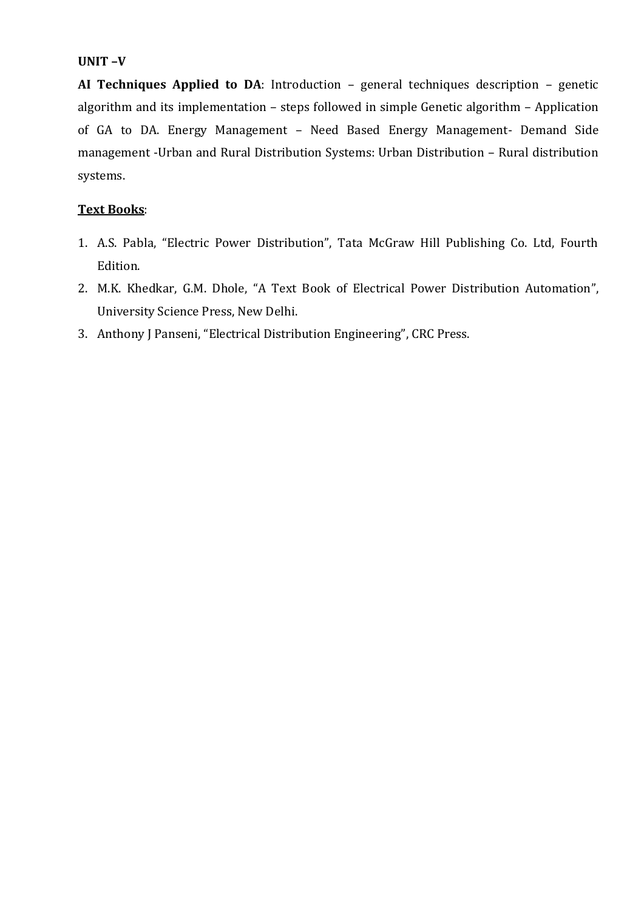#### **UNIT –V**

**AI Techniques Applied to DA**: Introduction – general techniques description – genetic algorithm and its implementation – steps followed in simple Genetic algorithm – Application of GA to DA. Energy Management – Need Based Energy Management- Demand Side management -Urban and Rural Distribution Systems: Urban Distribution – Rural distribution systems.

### **Text Books**:

- 1. A.S. Pabla, "Electric Power Distribution", Tata McGraw Hill Publishing Co. Ltd, Fourth Edition.
- 2. M.K. Khedkar, G.M. Dhole, "A Text Book of Electrical Power Distribution Automation", University Science Press, New Delhi.
- 3. Anthony J Panseni, "Electrical Distribution Engineering", CRC Press.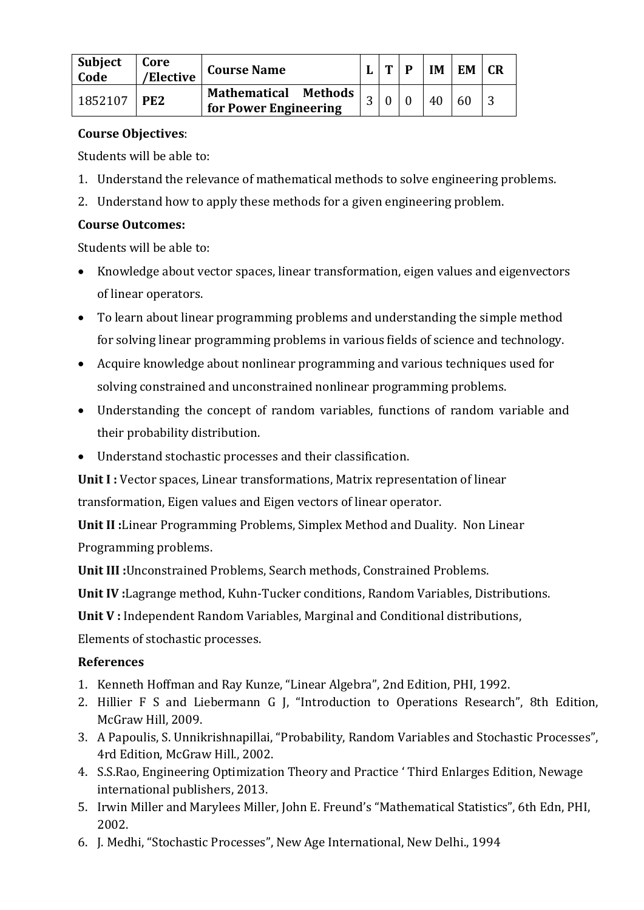| Subject<br>  Code | Core<br>/Elective | <b>Course Name</b>                            |   | m | IM | EM | <b>CR</b> |
|-------------------|-------------------|-----------------------------------------------|---|---|----|----|-----------|
| 1852107           | PE <sub>2</sub>   | Mathematical Methods<br>for Power Engineering | n |   | 40 | 60 |           |

Students will be able to:

- 1. Understand the relevance of mathematical methods to solve engineering problems.
- 2. Understand how to apply these methods for a given engineering problem.

### **Course Outcomes:**

Students will be able to:

- Knowledge about vector spaces, linear transformation, eigen values and eigenvectors of linear operators.
- To learn about linear programming problems and understanding the simple method for solving linear programming problems in various fields of science and technology.
- Acquire knowledge about nonlinear programming and various techniques used for solving constrained and unconstrained nonlinear programming problems.
- Understanding the concept of random variables, functions of random variable and their probability distribution.
- Understand stochastic processes and their classification.

**Unit I :** Vector spaces, Linear transformations, Matrix representation of linear transformation, Eigen values and Eigen vectors of linear operator.

**Unit II :**Linear Programming Problems, Simplex Method and Duality. Non Linear Programming problems.

**Unit III :**Unconstrained Problems, Search methods, Constrained Problems.

**Unit IV :**Lagrange method, Kuhn-Tucker conditions, Random Variables, Distributions.

**Unit V :** Independent Random Variables, Marginal and Conditional distributions,

Elements of stochastic processes.

### **References**

- 1. Kenneth Hoffman and Ray Kunze, "Linear Algebra", 2nd Edition, PHI, 1992.
- 2. Hillier F S and Liebermann G J, "Introduction to Operations Research", 8th Edition, McGraw Hill, 2009.
- 3. A Papoulis, S. Unnikrishnapillai, "Probability, Random Variables and Stochastic Processes", 4rd Edition, McGraw Hill., 2002.
- 4. S.S.Rao, Engineering Optimization Theory and Practice ' Third Enlarges Edition, Newage international publishers, 2013.
- 5. Irwin Miller and Marylees Miller, John E. Freund's "Mathematical Statistics", 6th Edn, PHI, 2002.
- 6. J. Medhi, "Stochastic Processes", New Age International, New Delhi., 1994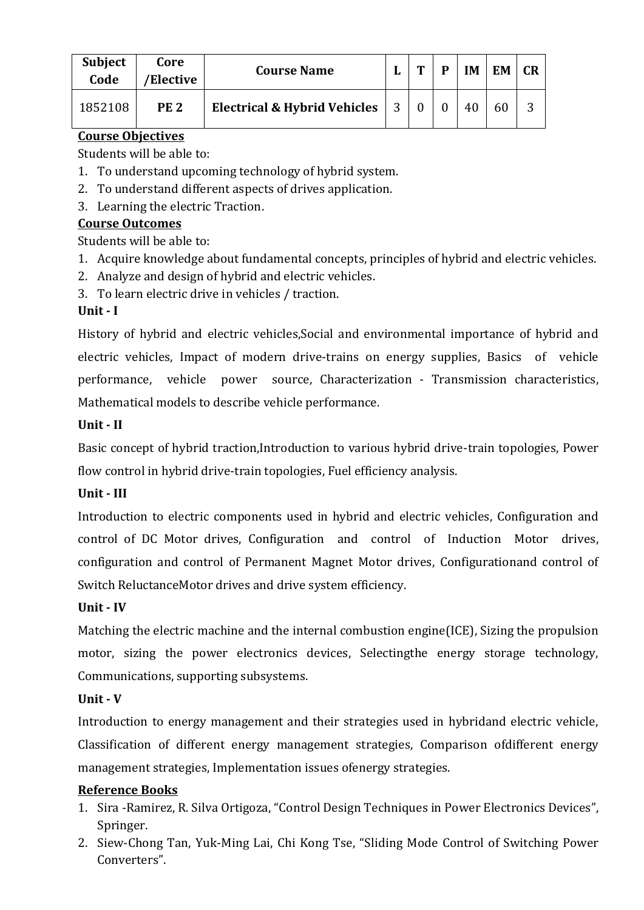| <b>Subject</b><br>Code | Core<br>/Elective | <b>Course Name</b>                     | m | D | IΜ | EM | <b>CR</b> |
|------------------------|-------------------|----------------------------------------|---|---|----|----|-----------|
| 1852108                | <b>PE 2</b>       | Electrical & Hybrid Vehicles $\vert$ 3 |   |   |    | 60 |           |

Students will be able to:

- 1. To understand upcoming technology of hybrid system.
- 2. To understand different aspects of drives application.
- 3. Learning the electric Traction.

## **Course Outcomes**

Students will be able to:

- 1. Acquire knowledge about fundamental concepts, principles of hybrid and electric vehicles.
- 2. Analyze and design of hybrid and electric vehicles.
- 3. To learn electric drive in vehicles / traction.

## **Unit - I**

History of hybrid and electric vehicles,Social and environmental importance of hybrid and electric vehicles, Impact of modern drive-trains on energy supplies, Basics of vehicle performance, vehicle power source, Characterization - Transmission characteristics, Mathematical models to describe vehicle performance.

### **Unit - II**

Basic concept of hybrid traction,Introduction to various hybrid drive-train topologies, Power flow control in hybrid drive-train topologies, Fuel efficiency analysis.

### **Unit - III**

Introduction to electric components used in hybrid and electric vehicles, Configuration and control of DC Motor drives, Configuration and control of Induction Motor drives, configuration and control of Permanent Magnet Motor drives, Configurationand control of Switch ReluctanceMotor drives and drive system efficiency.

### **Unit - IV**

Matching the electric machine and the internal combustion engine(ICE), Sizing the propulsion motor, sizing the power electronics devices, Selectingthe energy storage technology, Communications, supporting subsystems.

### **Unit - V**

Introduction to energy management and their strategies used in hybridand electric vehicle, Classification of different energy management strategies, Comparison ofdifferent energy management strategies, Implementation issues ofenergy strategies.

### **Reference Books**

- 1. Sira -Ramirez, R. Silva Ortigoza, "Control Design Techniques in Power Electronics Devices", Springer.
- 2. Siew-Chong Tan, Yuk-Ming Lai, Chi Kong Tse, "Sliding Mode Control of Switching Power Converters".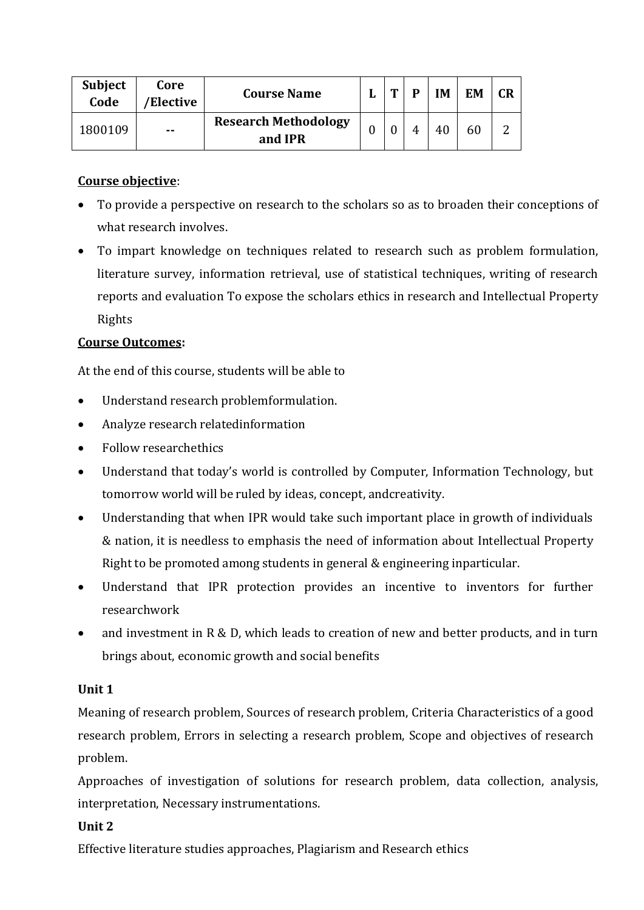| <b>Subject</b><br>Code | Core<br>'Elective | <b>Course Name</b>                     | m | D | ľΜ | EM | <b>CR</b> |
|------------------------|-------------------|----------------------------------------|---|---|----|----|-----------|
| 1800109                | --                | <b>Research Methodology</b><br>and IPR |   |   | 40 | 60 |           |

### **Course objective**:

- To provide a perspective on research to the scholars so as to broaden their conceptions of what research involves.
- To impart knowledge on techniques related to research such as problem formulation, literature survey, information retrieval, use of statistical techniques, writing of research reports and evaluation To expose the scholars ethics in research and Intellectual Property Rights

#### **Course Outcomes:**

At the end of this course, students will be able to

- Understand research problemformulation.
- Analyze research relatedinformation
- Follow researchethics
- Understand that today's world is controlled by Computer, Information Technology, but tomorrow world will be ruled by ideas, concept, andcreativity.
- Understanding that when IPR would take such important place in growth of individuals & nation, it is needless to emphasis the need of information about Intellectual Property Right to be promoted among students in general & engineering inparticular.
- Understand that IPR protection provides an incentive to inventors for further researchwork
- and investment in R & D, which leads to creation of new and better products, and in turn brings about, economic growth and social benefits

### **Unit 1**

Meaning of research problem, Sources of research problem, Criteria Characteristics of a good research problem, Errors in selecting a research problem, Scope and objectives of research problem.

Approaches of investigation of solutions for research problem, data collection, analysis, interpretation, Necessary instrumentations.

#### **Unit 2**

Effective literature studies approaches, Plagiarism and Research ethics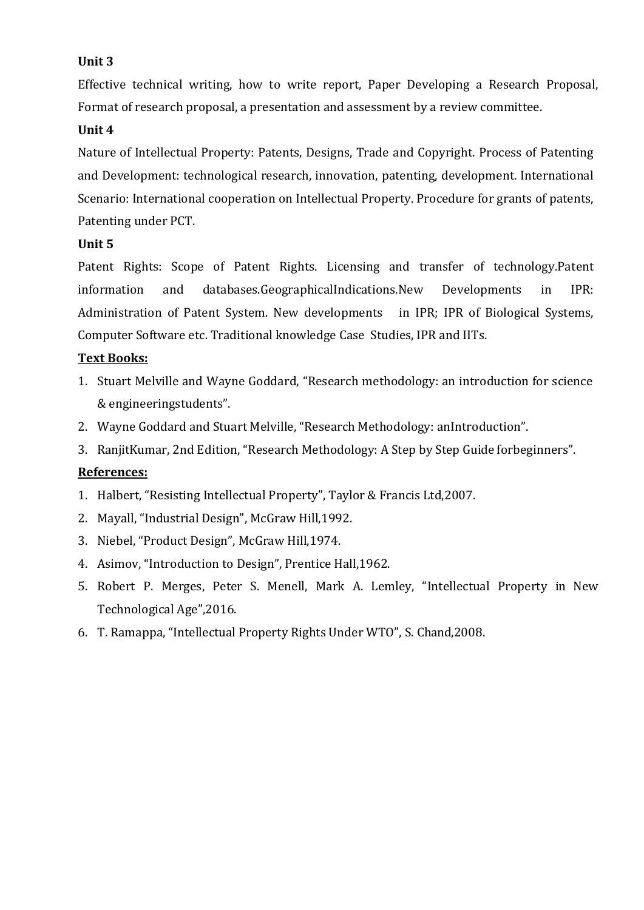### **Unit 3**

Effective technical writing, how to write report, Paper Developing a Research Proposal, Format of research proposal, a presentation and assessment by a review committee.

#### **Unit 4**

Nature of Intellectual Property: Patents, Designs, Trade and Copyright. Process of Patenting and Development: technological research, innovation, patenting, development. International Scenario: International cooperation on Intellectual Property. Procedure for grants of patents, Patenting under PCT.

#### **Unit 5**

Patent Rights: Scope of Patent Rights. Licensing and transfer of technology.Patent information and databases.GeographicalIndications.New Developments in IPR: Administration of Patent System. New developments in IPR; IPR of Biological Systems, Computer Software etc. Traditional knowledge Case Studies, IPR and IITs.

### **Text Books:**

- 1. Stuart Melville and Wayne Goddard, "Research methodology: an introduction for science & engineeringstudents".
- 2. Wayne Goddard and Stuart Melville, "Research Methodology: anIntroduction".
- 3. RanjitKumar, 2nd Edition, "Research Methodology: A Step by Step Guide forbeginners".

#### **References:**

- 1. Halbert, "Resisting Intellectual Property", Taylor & Francis Ltd,2007.
- 2. Mayall, "Industrial Design", McGraw Hill,1992.
- 3. Niebel, "Product Design", McGraw Hill,1974.
- 4. Asimov, "Introduction to Design", Prentice Hall,1962.
- 5. Robert P. Merges, Peter S. Menell, Mark A. Lemley, "Intellectual Property in New Technological Age",2016.
- 6. T. Ramappa, "Intellectual Property Rights Under WTO", S. Chand,2008.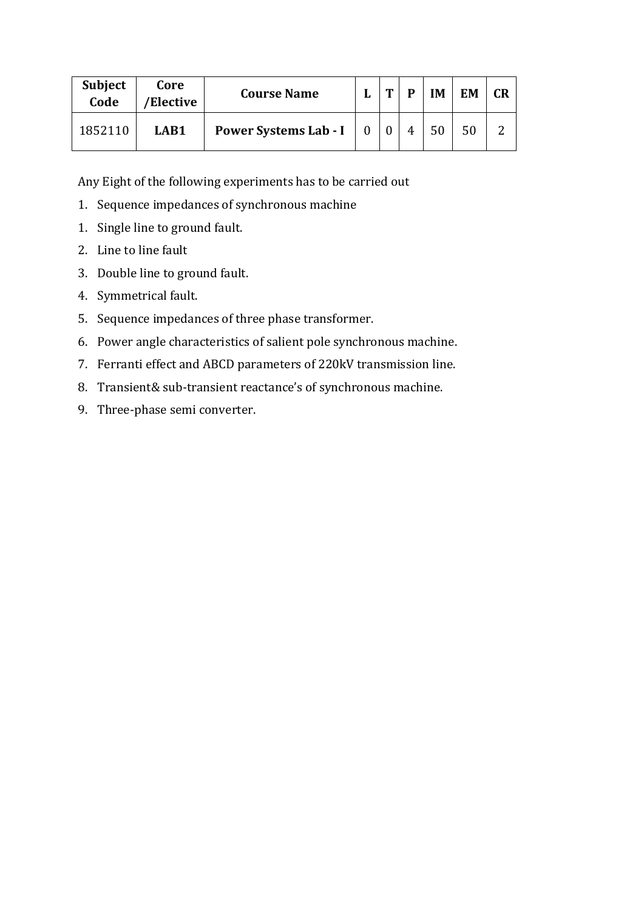| <b>Subject</b><br>Code | Core<br>'Elective | <b>Course Name</b>    | m | ٦M | <b>EM</b> | CR |
|------------------------|-------------------|-----------------------|---|----|-----------|----|
| 1852110                | LAB1              | Power Systems Lab - I |   | 50 | 50        |    |

Any Eight of the following experiments has to be carried out

- 1. Sequence impedances of synchronous machine
- 1. Single line to ground fault.
- 2. Line to line fault
- 3. Double line to ground fault.
- 4. Symmetrical fault.
- 5. Sequence impedances of three phase transformer.
- 6. Power angle characteristics of salient pole synchronous machine.
- 7. Ferranti effect and ABCD parameters of 220kV transmission line.
- 8. Transient& sub-transient reactance's of synchronous machine.
- 9. Three-phase semi converter.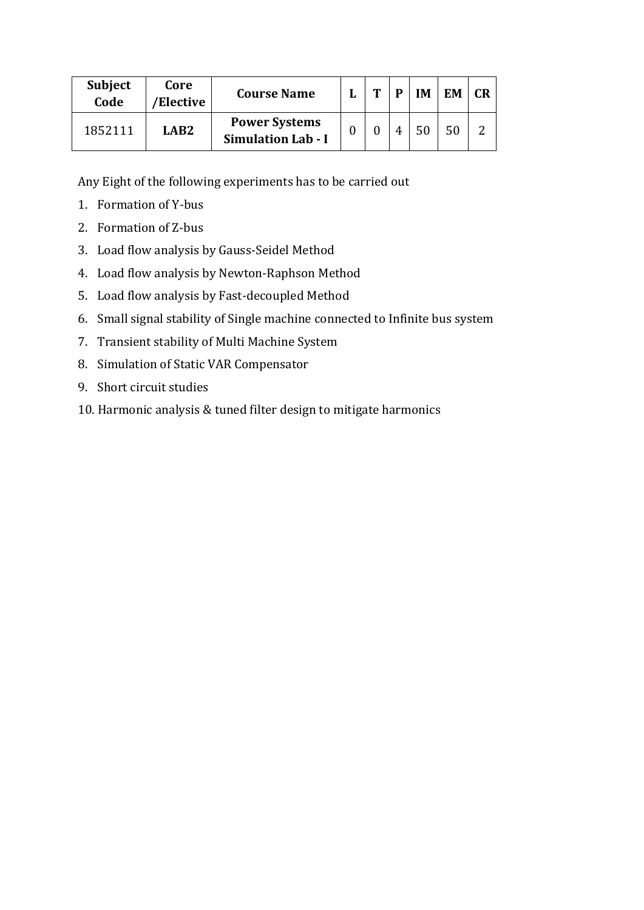| <b>Subject</b><br>Code | Core<br>/Elective | <b>Course Name</b>                                | m | D | <b>IM</b> | <b>EM</b> | CR |
|------------------------|-------------------|---------------------------------------------------|---|---|-----------|-----------|----|
| 1852111                | LAR2              | <b>Power Systems</b><br><b>Simulation Lab - I</b> |   |   | 50        |           |    |

Any Eight of the following experiments has to be carried out

- 1. Formation of Y-bus
- 2. Formation of Z-bus
- 3. Load flow analysis by Gauss-Seidel Method
- 4. Load flow analysis by Newton-Raphson Method
- 5. Load flow analysis by Fast-decoupled Method
- 6. Small signal stability of Single machine connected to Infinite bus system
- 7. Transient stability of Multi Machine System
- 8. Simulation of Static VAR Compensator
- 9. Short circuit studies
- 10. Harmonic analysis & tuned filter design to mitigate harmonics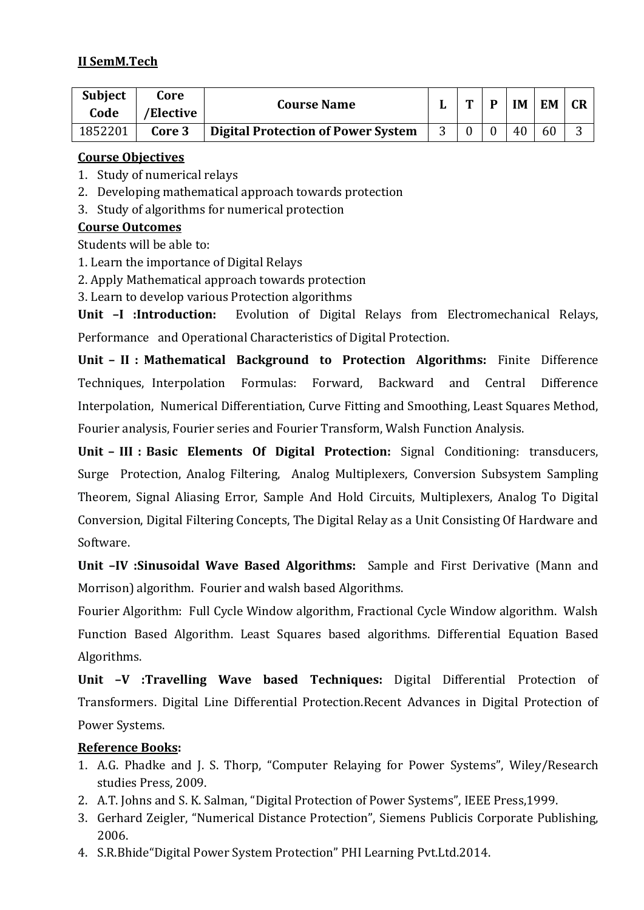### **II SemM.Tech**

| <b>Subject</b><br>Code | Core<br>/Elective | <b>Course Name</b>                        | m | D              | <b>IM</b> | <b>EM</b> |  |
|------------------------|-------------------|-------------------------------------------|---|----------------|-----------|-----------|--|
| 1852201                | Core 3            | <b>Digital Protection of Power System</b> |   | $\overline{0}$ | 40        | 60        |  |

#### **Course Objectives**

- 1. Study of numerical relays
- 2. Developing mathematical approach towards protection
- 3. Study of algorithms for numerical protection

### **Course Outcomes**

Students will be able to:

- 1. Learn the importance of Digital Relays
- 2. Apply Mathematical approach towards protection
- 3. Learn to develop various Protection algorithms

**Unit –I :Introduction:** Evolution of Digital Relays from Electromechanical Relays, Performance and Operational Characteristics of Digital Protection.

**Unit – II : Mathematical Background to Protection Algorithms:** Finite Difference Techniques, Interpolation Formulas: Forward, Backward and Central Difference Interpolation, Numerical Differentiation, Curve Fitting and Smoothing, Least Squares Method, Fourier analysis, Fourier series and Fourier Transform, Walsh Function Analysis.

**Unit – III : Basic Elements Of Digital Protection:** Signal Conditioning: transducers, Surge Protection, Analog Filtering, Analog Multiplexers, Conversion Subsystem Sampling Theorem, Signal Aliasing Error, Sample And Hold Circuits, Multiplexers, Analog To Digital Conversion, Digital Filtering Concepts, The Digital Relay as a Unit Consisting Of Hardware and Software.

**Unit –IV :Sinusoidal Wave Based Algorithms:** Sample and First Derivative (Mann and Morrison) algorithm. Fourier and walsh based Algorithms.

Fourier Algorithm: Full Cycle Window algorithm, Fractional Cycle Window algorithm. Walsh Function Based Algorithm. Least Squares based algorithms. Differential Equation Based Algorithms.

**Unit –V :Travelling Wave based Techniques:** Digital Differential Protection of Transformers. Digital Line Differential Protection.Recent Advances in Digital Protection of Power Systems.

### **Reference Books:**

- 1. A.G. Phadke and J. S. Thorp, "Computer Relaying for Power Systems", Wiley/Research studies Press, 2009.
- 2. A.T. Johns and S. K. Salman, "Digital Protection of Power Systems", IEEE Press,1999.
- 3. Gerhard Zeigler, "Numerical Distance Protection", Siemens Publicis Corporate Publishing, 2006.
- 4. S.R.Bhide"Digital Power System Protection" PHI Learning Pvt.Ltd.2014.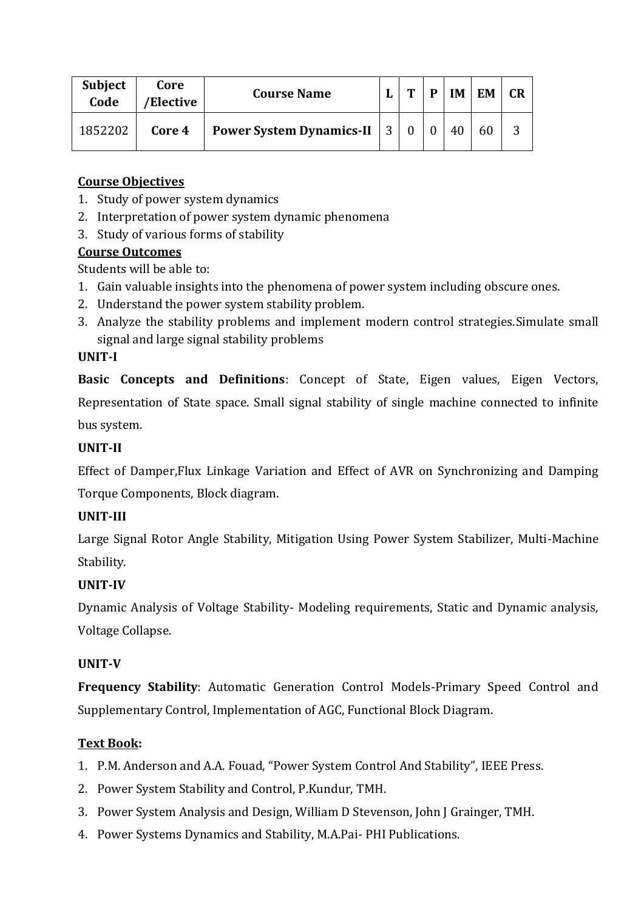| <b>Subject</b><br>Code | Core<br>/Elective | <b>Course Name</b>                | m | IM | <b>EM</b> |  |
|------------------------|-------------------|-----------------------------------|---|----|-----------|--|
| 1852202                | Core 4            | <b>Power System Dynamics-II</b> 3 |   | 40 |           |  |

- 1. Study of power system dynamics
- 2. Interpretation of power system dynamic phenomena
- 3. Study of various forms of stability

### **Course Outcomes**

Students will be able to:

- 1. Gain valuable insights into the phenomena of power system including obscure ones.
- 2. Understand the power system stability problem.
- 3. Analyze the stability problems and implement modern control strategies.Simulate small signal and large signal stability problems

### **UNIT-I**

**Basic Concepts and Definitions**: Concept of State, Eigen values, Eigen Vectors, Representation of State space. Small signal stability of single machine connected to infinite bus system.

### **UNIT-II**

Effect of Damper,Flux Linkage Variation and Effect of AVR on Synchronizing and Damping Torque Components, Block diagram.

### **UNIT-III**

Large Signal Rotor Angle Stability, Mitigation Using Power System Stabilizer, Multi-Machine Stability.

### **UNIT-IV**

Dynamic Analysis of Voltage Stability- Modeling requirements, Static and Dynamic analysis, Voltage Collapse.

### **UNIT-V**

**Frequency Stability**: Automatic Generation Control Models-Primary Speed Control and Supplementary Control, Implementation of AGC, Functional Block Diagram.

## **Text Book:**

- 1. P.M. Anderson and A.A. Fouad, "Power System Control And Stability", IEEE Press.
- 2. Power System Stability and Control, P.Kundur, TMH.
- 3. Power System Analysis and Design, William D Stevenson, John J Grainger, TMH.
- 4. Power Systems Dynamics and Stability, M.A.Pai- PHI Publications.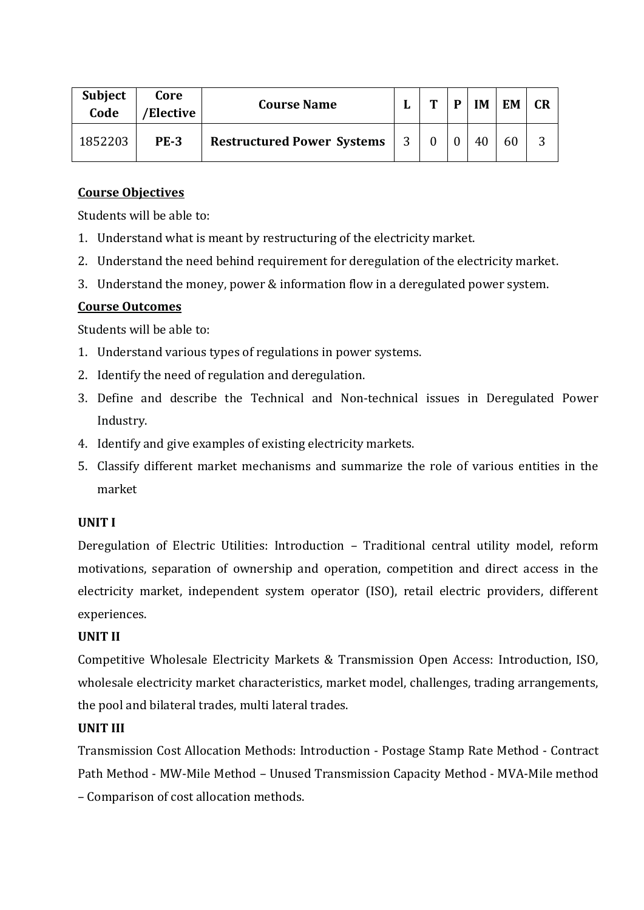| Subject<br>Code | Core<br>/Elective | <b>Course Name</b>                |   | m | D | IM | <b>EM</b> | <b>CR</b> |
|-----------------|-------------------|-----------------------------------|---|---|---|----|-----------|-----------|
| 1852203         | <b>PE-3</b>       | <b>Restructured Power Systems</b> | 3 |   |   |    | 60        | 3         |

Students will be able to:

- 1. Understand what is meant by restructuring of the electricity market.
- 2. Understand the need behind requirement for deregulation of the electricity market.
- 3. Understand the money, power & information flow in a deregulated power system.

#### **Course Outcomes**

Students will be able to:

- 1. Understand various types of regulations in power systems.
- 2. Identify the need of regulation and deregulation.
- 3. Define and describe the Technical and Non-technical issues in Deregulated Power Industry.
- 4. Identify and give examples of existing electricity markets.
- 5. Classify different market mechanisms and summarize the role of various entities in the market

#### **UNIT I**

Deregulation of Electric Utilities: Introduction – Traditional central utility model, reform motivations, separation of ownership and operation, competition and direct access in the electricity market, independent system operator (ISO), retail electric providers, different experiences.

#### **UNIT II**

Competitive Wholesale Electricity Markets & Transmission Open Access: Introduction, ISO, wholesale electricity market characteristics, market model, challenges, trading arrangements, the pool and bilateral trades, multi lateral trades.

#### **UNIT III**

Transmission Cost Allocation Methods: Introduction - Postage Stamp Rate Method - Contract Path Method - MW-Mile Method – Unused Transmission Capacity Method - MVA-Mile method – Comparison of cost allocation methods.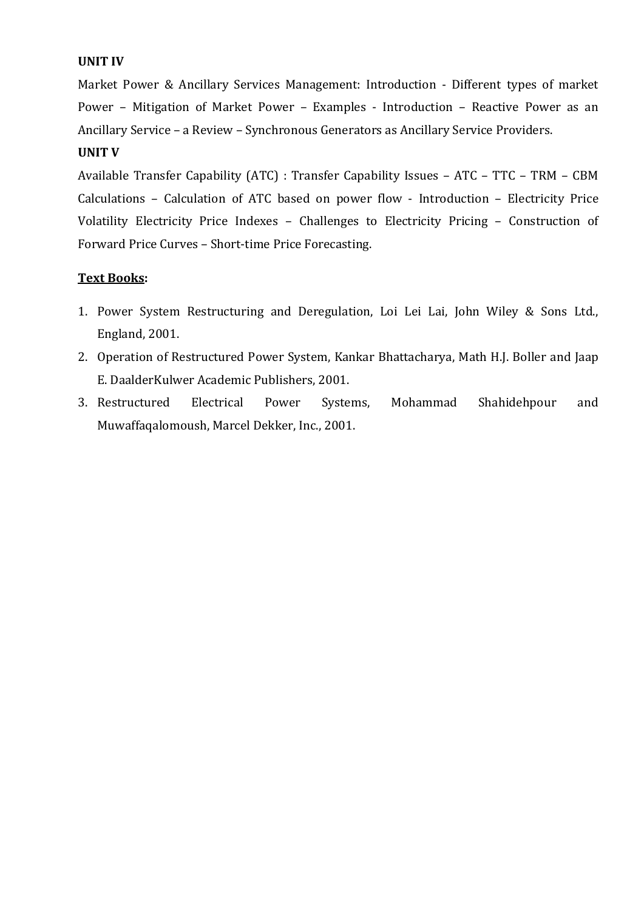#### **UNIT IV**

Market Power & Ancillary Services Management: Introduction - Different types of market Power – Mitigation of Market Power – Examples - Introduction – Reactive Power as an Ancillary Service – a Review – Synchronous Generators as Ancillary Service Providers.

#### **UNIT V**

Available Transfer Capability (ATC) : Transfer Capability Issues – ATC – TTC – TRM – CBM Calculations – Calculation of ATC based on power flow - Introduction – Electricity Price Volatility Electricity Price Indexes – Challenges to Electricity Pricing – Construction of Forward Price Curves – Short-time Price Forecasting.

#### **Text Books:**

- 1. Power System Restructuring and Deregulation, Loi Lei Lai, John Wiley & Sons Ltd., England, 2001.
- 2. Operation of Restructured Power System, Kankar Bhattacharya, Math H.J. Boller and Jaap E. DaalderKulwer Academic Publishers, 2001.
- 3. Restructured Electrical Power Systems, Mohammad Shahidehpour and Muwaffaqalomoush, Marcel Dekker, Inc., 2001.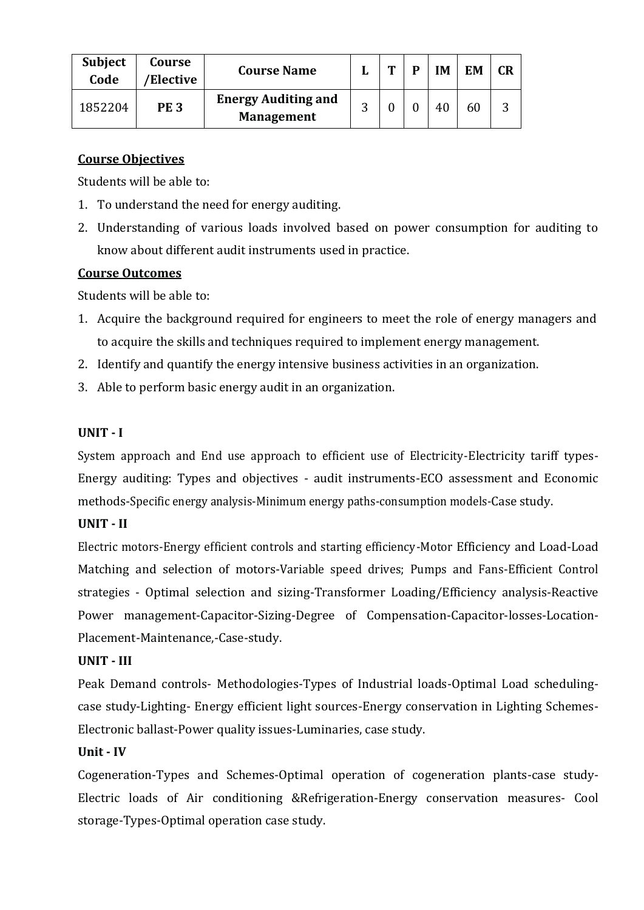| <b>Subject</b><br>Code | Course<br>'Elective | <b>Course Name</b>                              |   | m | IΜ | EM | CR |
|------------------------|---------------------|-------------------------------------------------|---|---|----|----|----|
| 1852204                | <b>PE3</b>          | <b>Energy Auditing and</b><br><b>Management</b> | ⌒ |   | 40 |    |    |

Students will be able to:

- 1. To understand the need for energy auditing.
- 2. Understanding of various loads involved based on power consumption for auditing to know about different audit instruments used in practice.

#### **Course Outcomes**

Students will be able to:

- 1. Acquire the background required for engineers to meet the role of energy managers and to acquire the skills and techniques required to implement energy management.
- 2. Identify and quantify the energy intensive business activities in an organization.
- 3. Able to perform basic energy audit in an organization.

#### **UNIT - I**

System approach and End use approach to efficient use of Electricity-Electricity tariff types-Energy auditing: Types and objectives - audit instruments-ECO assessment and Economic methods-Specific energy analysis-Minimum energy paths-consumption models-Case study.

### **UNIT - II**

Electric motors-Energy efficient controls and starting efficiency-Motor Efficiency and Load-Load Matching and selection of motors-Variable speed drives; Pumps and Fans-Efficient Control strategies - Optimal selection and sizing-Transformer Loading/Efficiency analysis-Reactive Power management-Capacitor-Sizing-Degree of Compensation-Capacitor-losses-Location-Placement-Maintenance,-Case-study.

#### **UNIT - III**

Peak Demand controls- Methodologies-Types of Industrial loads-Optimal Load schedulingcase study-Lighting- Energy efficient light sources-Energy conservation in Lighting Schemes-Electronic ballast-Power quality issues-Luminaries, case study.

#### **Unit - IV**

Cogeneration-Types and Schemes-Optimal operation of cogeneration plants-case study-Electric loads of Air conditioning &Refrigeration-Energy conservation measures- Cool storage-Types-Optimal operation case study.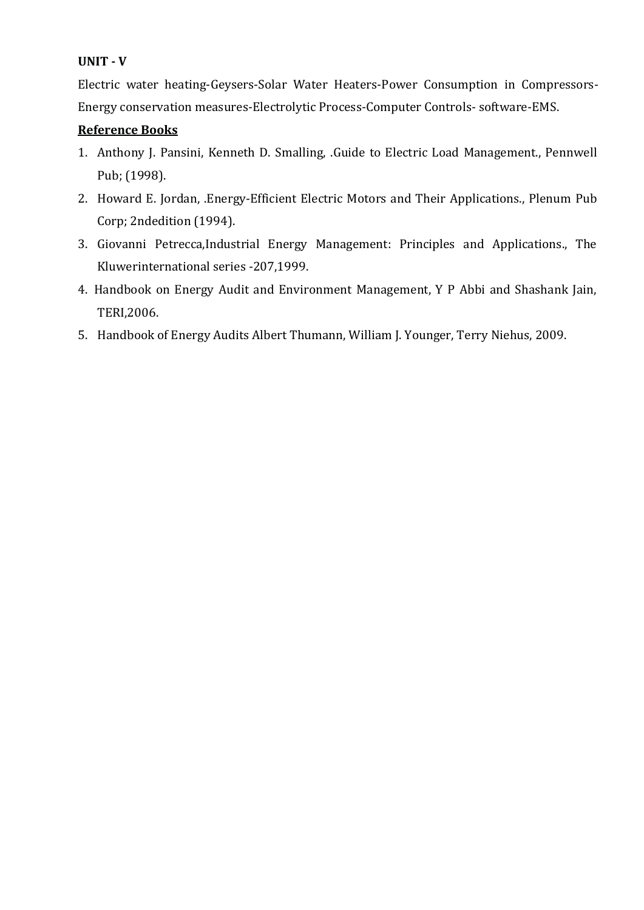#### **UNIT - V**

Electric water heating-Geysers-Solar Water Heaters-Power Consumption in Compressors-Energy conservation measures-Electrolytic Process-Computer Controls- software-EMS.

#### **Reference Books**

- 1. Anthony J. Pansini, Kenneth D. Smalling, .Guide to Electric Load Management., Pennwell Pub; (1998).
- 2. Howard E. Jordan, .Energy-Efficient Electric Motors and Their Applications., Plenum Pub Corp; 2ndedition (1994).
- 3. Giovanni Petrecca,Industrial Energy Management: Principles and Applications., The Kluwerinternational series -207,1999.
- 4. Handbook on Energy Audit and Environment Management, Y P Abbi and Shashank Jain, TERI,2006.
- 5. Handbook of Energy Audits Albert Thumann, William J. Younger, Terry Niehus, 2009.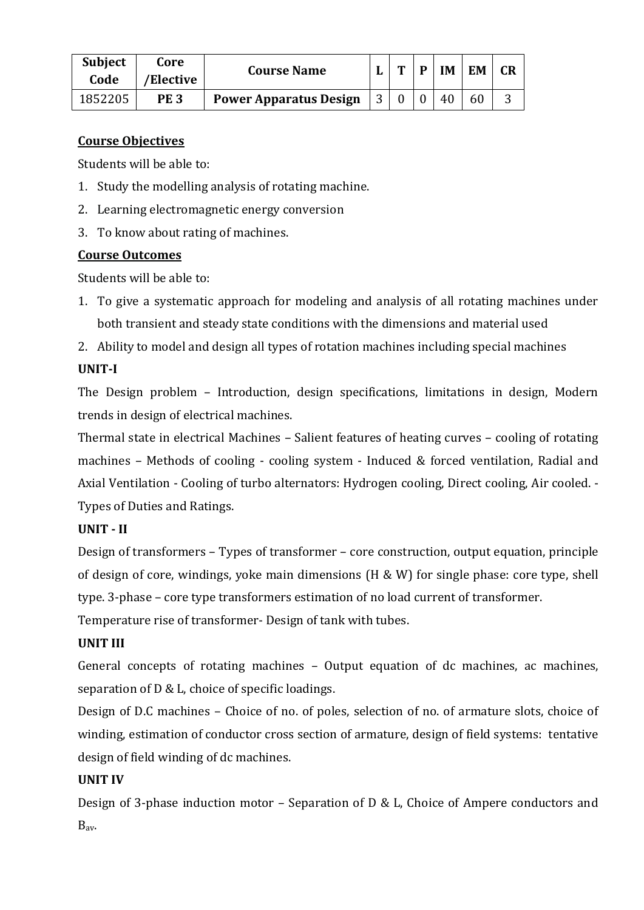| <b>Subject</b><br>Code | Core<br>'Elective | <b>Course Name</b>            | m | D | <b>IM</b> | EM | <b>CR</b> |
|------------------------|-------------------|-------------------------------|---|---|-----------|----|-----------|
| 1852205                | PE <sub>3</sub>   | <b>Power Apparatus Design</b> |   |   | 40        | 60 | ⌒         |

Students will be able to:

- 1. Study the modelling analysis of rotating machine.
- 2. Learning electromagnetic energy conversion
- 3. To know about rating of machines.

### **Course Outcomes**

Students will be able to:

- 1. To give a systematic approach for modeling and analysis of all rotating machines under both transient and steady state conditions with the dimensions and material used
- 2. Ability to model and design all types of rotation machines including special machines

### **UNIT-I**

The Design problem – Introduction, design specifications, limitations in design, Modern trends in design of electrical machines.

Thermal state in electrical Machines – Salient features of heating curves – cooling of rotating machines – Methods of cooling - cooling system - Induced & forced ventilation, Radial and Axial Ventilation - Cooling of turbo alternators: Hydrogen cooling, Direct cooling, Air cooled. - Types of Duties and Ratings.

### **UNIT - II**

Design of transformers – Types of transformer – core construction, output equation, principle of design of core, windings, yoke main dimensions (H & W) for single phase: core type, shell type. 3-phase – core type transformers estimation of no load current of transformer.

Temperature rise of transformer- Design of tank with tubes.

## **UNIT III**

General concepts of rotating machines – Output equation of dc machines, ac machines, separation of D & L, choice of specific loadings.

Design of D.C machines – Choice of no. of poles, selection of no. of armature slots, choice of winding, estimation of conductor cross section of armature, design of field systems: tentative design of field winding of dc machines.

## **UNIT IV**

Design of 3-phase induction motor – Separation of D & L, Choice of Ampere conductors and Bav.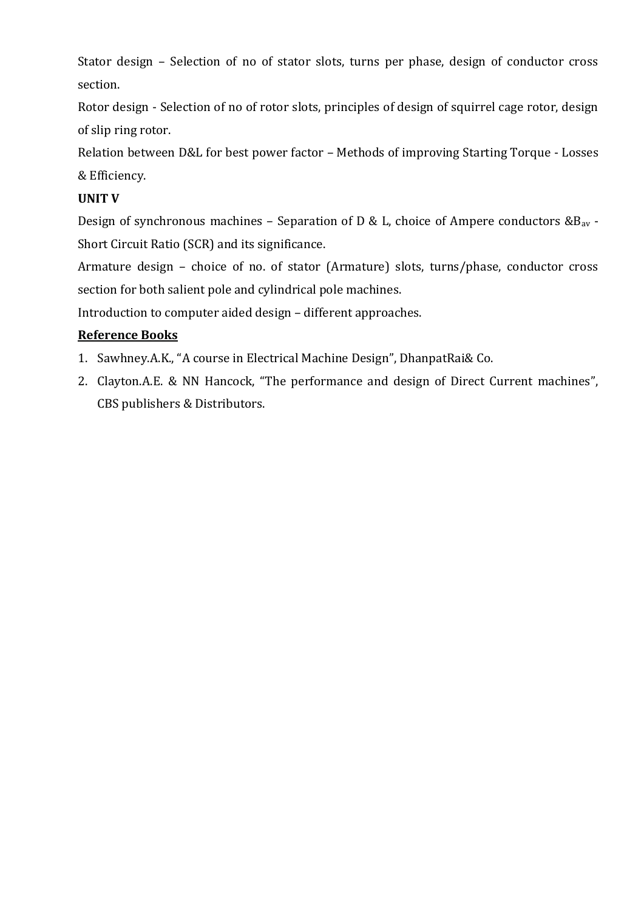Stator design – Selection of no of stator slots, turns per phase, design of conductor cross section.

Rotor design - Selection of no of rotor slots, principles of design of squirrel cage rotor, design of slip ring rotor.

Relation between D&L for best power factor – Methods of improving Starting Torque - Losses & Efficiency.

### **UNIT V**

Design of synchronous machines – Separation of D & L, choice of Ampere conductors  $\&B_{av}$  -Short Circuit Ratio (SCR) and its significance.

Armature design – choice of no. of stator (Armature) slots, turns/phase, conductor cross section for both salient pole and cylindrical pole machines.

Introduction to computer aided design – different approaches.

## **Reference Books**

- 1. Sawhney.A.K., "A course in Electrical Machine Design", DhanpatRai& Co.
- 2. Clayton.A.E. & NN Hancock, "The performance and design of Direct Current machines", CBS publishers & Distributors.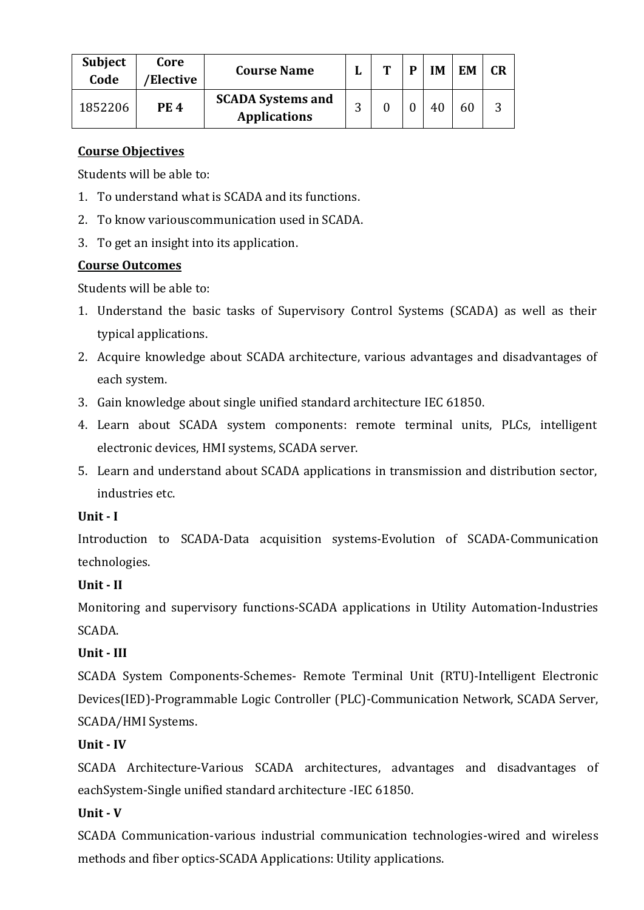| <b>Subject</b><br>Code | Core<br>/Elective | <b>Course Name</b>                              | ┸ | m | D | IΜ | <b>EM</b> | CR |
|------------------------|-------------------|-------------------------------------------------|---|---|---|----|-----------|----|
| 1852206                | <b>PE4</b>        | <b>SCADA Systems and</b><br><b>Applications</b> | റ |   |   | 40 | 60        |    |

Students will be able to:

- 1. To understand what is SCADA and its functions.
- 2. To know variouscommunication used in SCADA.
- 3. To get an insight into its application.

### **Course Outcomes**

Students will be able to:

- 1. Understand the basic tasks of Supervisory Control Systems (SCADA) as well as their typical applications.
- 2. Acquire knowledge about SCADA architecture, various advantages and disadvantages of each system.
- 3. Gain knowledge about single unified standard architecture IEC 61850.
- 4. Learn about SCADA system components: remote terminal units, PLCs, intelligent electronic devices, HMI systems, SCADA server.
- 5. Learn and understand about SCADA applications in transmission and distribution sector, industries etc.

### **Unit - I**

Introduction to SCADA-Data acquisition systems-Evolution of SCADA-Communication technologies.

### **Unit - II**

Monitoring and supervisory functions-SCADA applications in Utility Automation-Industries SCADA.

## **Unit - III**

SCADA System Components-Schemes- Remote Terminal Unit (RTU)-Intelligent Electronic Devices(IED)-Programmable Logic Controller (PLC)-Communication Network, SCADA Server, SCADA/HMI Systems.

### **Unit - IV**

SCADA Architecture-Various SCADA architectures, advantages and disadvantages of eachSystem-Single unified standard architecture -IEC 61850.

## **Unit - V**

SCADA Communication-various industrial communication technologies-wired and wireless methods and fiber optics-SCADA Applications: Utility applications.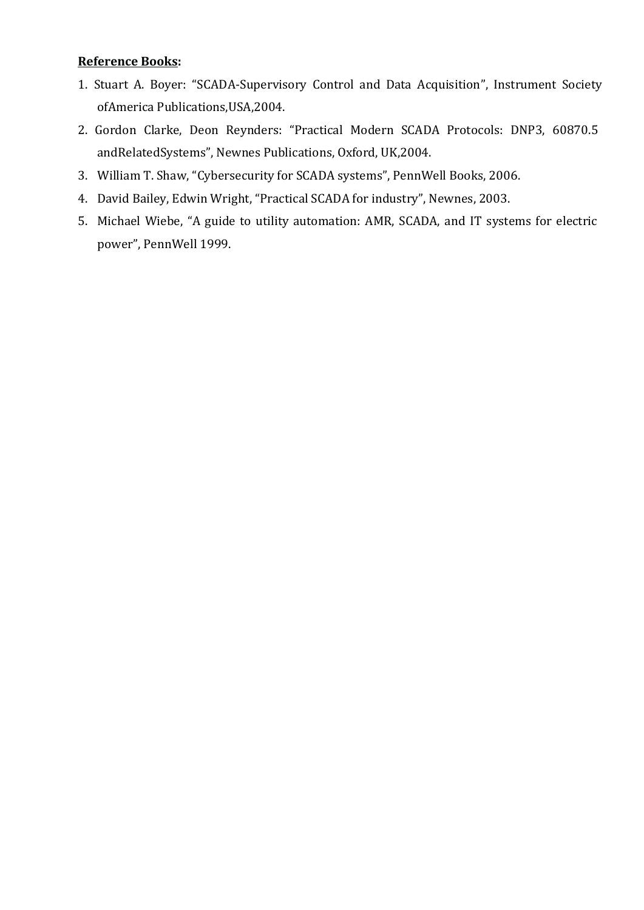#### **Reference Books:**

- 1. Stuart A. Boyer: "SCADA-Supervisory Control and Data Acquisition", Instrument Society ofAmerica Publications,USA,2004.
- 2. Gordon Clarke, Deon Reynders: "Practical Modern SCADA Protocols: DNP3, 60870.5 andRelatedSystems", Newnes Publications, Oxford, UK,2004.
- 3. William T. Shaw, "Cybersecurity for SCADA systems", PennWell Books, 2006.
- 4. David Bailey, Edwin Wright, "Practical SCADA for industry", Newnes, 2003.
- 5. Michael Wiebe, "A guide to utility automation: AMR, SCADA, and IT systems for electric power", PennWell 1999.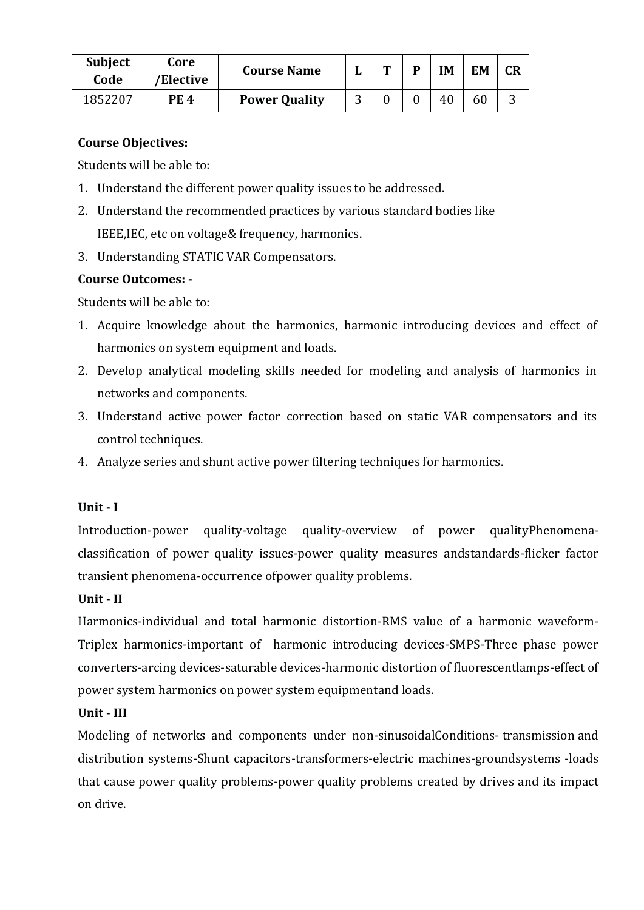| <b>Subject</b><br>Code | Core<br>'Elective | <b>Course Name</b>   | m | D | IM | EM |   |
|------------------------|-------------------|----------------------|---|---|----|----|---|
| 1852207                | <b>PE 4</b>       | <b>Power Quality</b> |   |   | 40 | 60 | C |

Students will be able to:

- 1. Understand the different power quality issues to be addressed.
- 2. Understand the recommended practices by various standard bodies like IEEE,IEC, etc on voltage& frequency, harmonics.
- 3. Understanding STATIC VAR Compensators.

### **Course Outcomes: -**

Students will be able to:

- 1. Acquire knowledge about the harmonics, harmonic introducing devices and effect of harmonics on system equipment and loads.
- 2. Develop analytical modeling skills needed for modeling and analysis of harmonics in networks and components.
- 3. Understand active power factor correction based on static VAR compensators and its control techniques.
- 4. Analyze series and shunt active power filtering techniques for harmonics.

### **Unit - I**

Introduction-power quality-voltage quality-overview of power qualityPhenomenaclassification of power quality issues-power quality measures andstandards-flicker factor transient phenomena-occurrence ofpower quality problems.

## **Unit - II**

Harmonics-individual and total harmonic distortion-RMS value of a harmonic waveform-Triplex harmonics-important of harmonic introducing devices-SMPS-Three phase power converters-arcing devices-saturable devices-harmonic distortion of fluorescentlamps-effect of power system harmonics on power system equipmentand loads.

## **Unit - III**

Modeling of networks and components under non-sinusoidalConditions- transmission and distribution systems-Shunt capacitors-transformers-electric machines-groundsystems -loads that cause power quality problems-power quality problems created by drives and its impact on drive.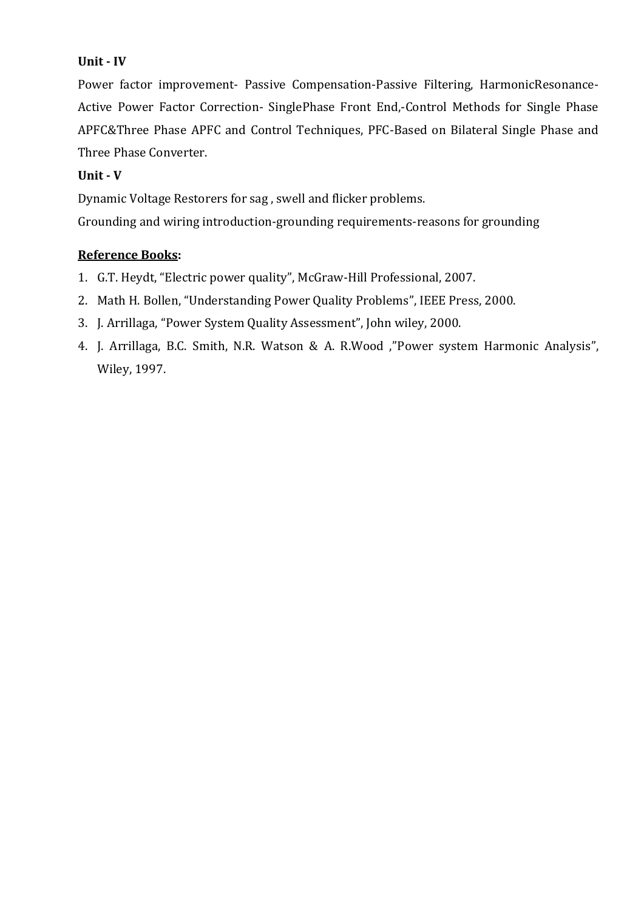#### **Unit - IV**

Power factor improvement- Passive Compensation-Passive Filtering, HarmonicResonance-Active Power Factor Correction- SinglePhase Front End,-Control Methods for Single Phase APFC&Three Phase APFC and Control Techniques, PFC-Based on Bilateral Single Phase and Three Phase Converter.

#### **Unit - V**

Dynamic Voltage Restorers for sag , swell and flicker problems.

Grounding and wiring introduction-grounding requirements-reasons for grounding

#### **Reference Books:**

- 1. G.T. Heydt, "Electric power quality", McGraw-Hill Professional, 2007.
- 2. Math H. Bollen, "Understanding Power Quality Problems", IEEE Press, 2000.
- 3. J. Arrillaga, "Power System Quality Assessment", John wiley, 2000.
- 4. J. Arrillaga, B.C. Smith, N.R. Watson & A. R.Wood ,"Power system Harmonic Analysis", Wiley, 1997.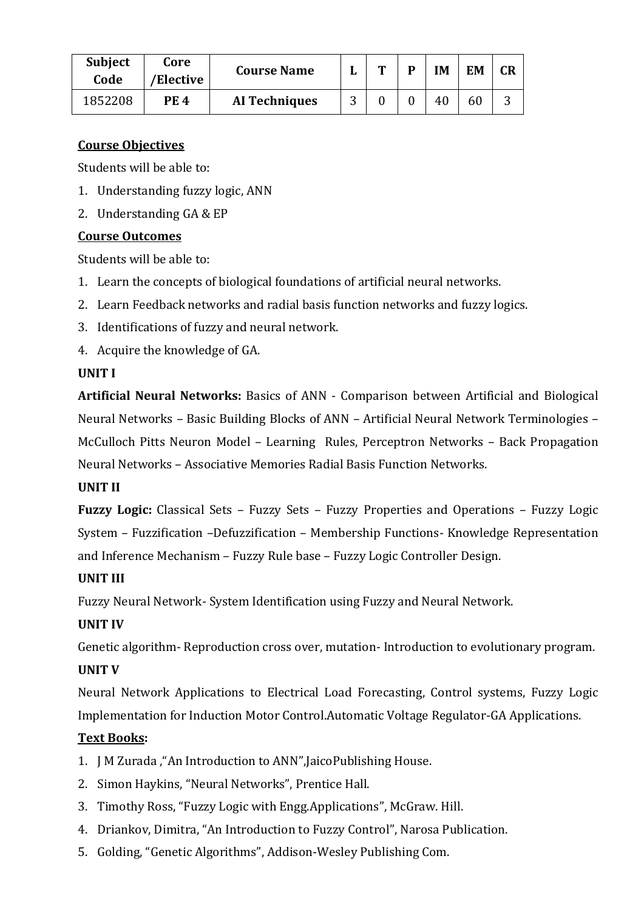| <b>Subject</b><br>Code | Core<br>'Elective | <b>Course Name</b>   |          | m | D | IM | <b>EM</b> | <b>CR</b> |
|------------------------|-------------------|----------------------|----------|---|---|----|-----------|-----------|
| 1852208                | <b>PE 4</b>       | <b>AI Techniques</b> | ⌒<br>. . |   |   | 40 | 60        | ◠<br>Ć    |

Students will be able to:

- 1. Understanding fuzzy logic, ANN
- 2. Understanding GA & EP

### **Course Outcomes**

Students will be able to:

- 1. Learn the concepts of biological foundations of artificial neural networks.
- 2. Learn Feedback networks and radial basis function networks and fuzzy logics.
- 3. Identifications of fuzzy and neural network.
- 4. Acquire the knowledge of GA.

### **UNIT I**

**Artificial Neural Networks:** Basics of ANN - Comparison between Artificial and Biological Neural Networks – Basic Building Blocks of ANN – Artificial Neural Network Terminologies – McCulloch Pitts Neuron Model – Learning Rules, Perceptron Networks – Back Propagation Neural Networks – Associative Memories Radial Basis Function Networks.

### **UNIT II**

**Fuzzy Logic:** Classical Sets – Fuzzy Sets – Fuzzy Properties and Operations – Fuzzy Logic System – Fuzzification –Defuzzification – Membership Functions- Knowledge Representation and Inference Mechanism – Fuzzy Rule base – Fuzzy Logic Controller Design.

### **UNIT III**

Fuzzy Neural Network- System Identification using Fuzzy and Neural Network.

### **UNIT IV**

Genetic algorithm- Reproduction cross over, mutation- Introduction to evolutionary program.

### **UNIT V**

Neural Network Applications to Electrical Load Forecasting, Control systems, Fuzzy Logic Implementation for Induction Motor Control.Automatic Voltage Regulator-GA Applications.

### **Text Books:**

- 1. J M Zurada ,"An Introduction to ANN",JaicoPublishing House.
- 2. Simon Haykins, "Neural Networks", Prentice Hall.
- 3. Timothy Ross, "Fuzzy Logic with Engg.Applications", McGraw. Hill.
- 4. Driankov, Dimitra, "An Introduction to Fuzzy Control", Narosa Publication.
- 5. Golding, "Genetic Algorithms", Addison-Wesley Publishing Com.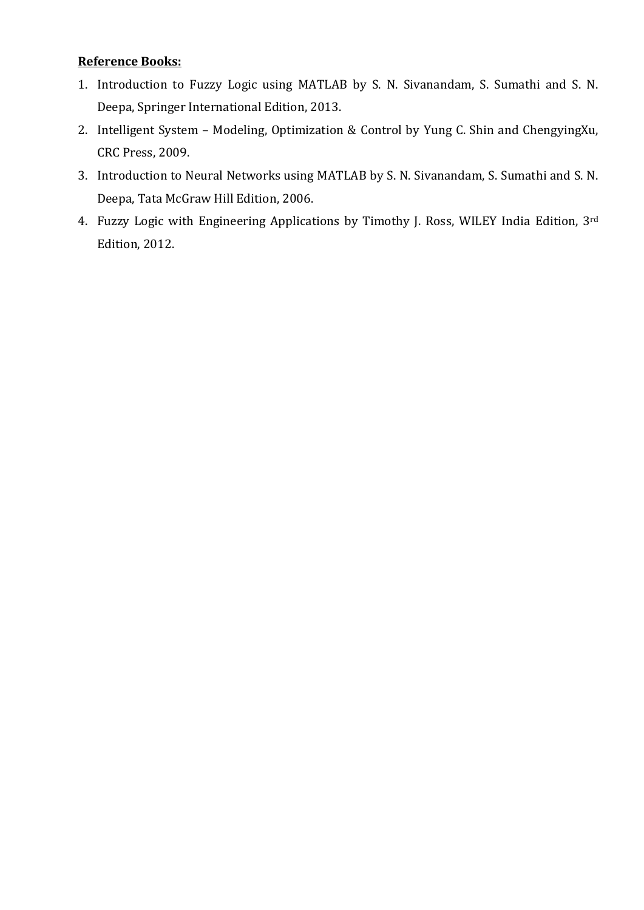### **Reference Books:**

- 1. Introduction to Fuzzy Logic using MATLAB by S. N. Sivanandam, S. Sumathi and S. N. Deepa, Springer International Edition, 2013.
- 2. Intelligent System Modeling, Optimization & Control by Yung C. Shin and ChengyingXu, CRC Press, 2009.
- 3. Introduction to Neural Networks using MATLAB by S. N. Sivanandam, S. Sumathi and S. N. Deepa, Tata McGraw Hill Edition, 2006.
- 4. Fuzzy Logic with Engineering Applications by Timothy J. Ross, WILEY India Edition, 3rd Edition, 2012.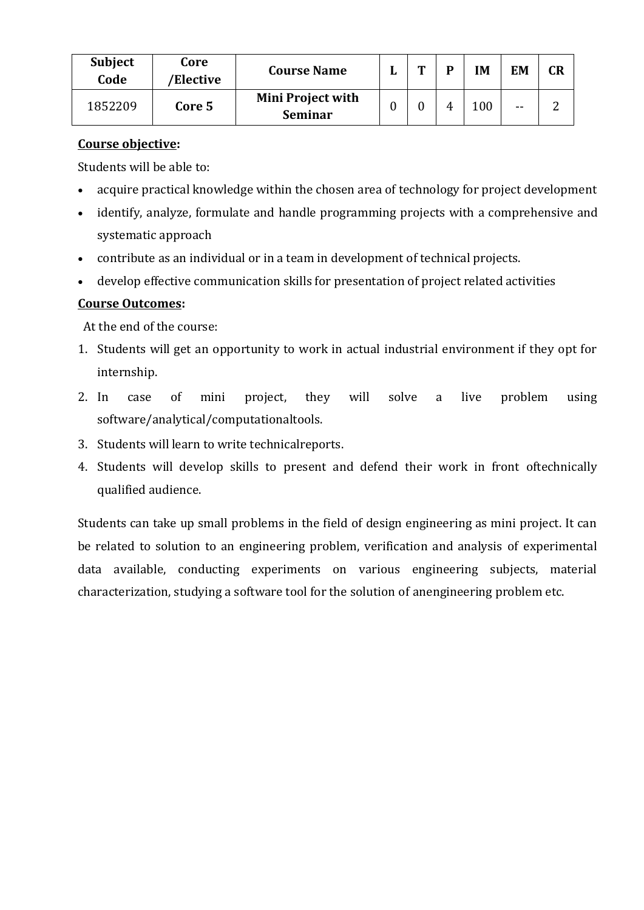| <b>Subject</b><br>Code | Core<br>/Elective | <b>Course Name</b>                         | m | D | IM  | EM | <b>CR</b> |
|------------------------|-------------------|--------------------------------------------|---|---|-----|----|-----------|
| 1852209                | Core 5            | <b>Mini Project with</b><br><b>Seminar</b> | 0 | 4 | 100 | -- |           |

#### **Course objective:**

Students will be able to:

- acquire practical knowledge within the chosen area of technology for project development
- identify, analyze, formulate and handle programming projects with a comprehensive and systematic approach
- contribute as an individual or in a team in development of technical projects.
- develop effective communication skills for presentation of project related activities

### **Course Outcomes:**

At the end of the course:

- 1. Students will get an opportunity to work in actual industrial environment if they opt for internship.
- 2. In case of mini project, they will solve a live problem using software/analytical/computationaltools.
- 3. Students will learn to write technicalreports.
- 4. Students will develop skills to present and defend their work in front oftechnically qualified audience.

Students can take up small problems in the field of design engineering as mini project. It can be related to solution to an engineering problem, verification and analysis of experimental data available, conducting experiments on various engineering subjects, material characterization, studying a software tool for the solution of anengineering problem etc.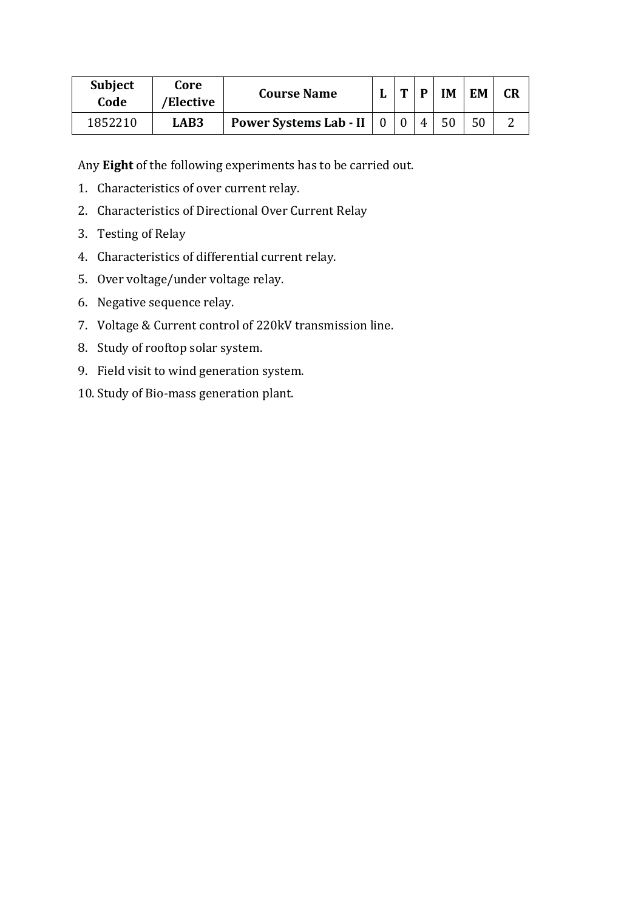| <b>Subject</b><br>Code | Core<br>/Elective | <b>Course Name</b>            | m | D | ĪΜ | <b>EM</b> | <b>CR</b> |
|------------------------|-------------------|-------------------------------|---|---|----|-----------|-----------|
| 1852210                | <b>LAB3</b>       | <b>Power Systems Lab - II</b> |   |   | 50 | 50        |           |

Any **Eight** of the following experiments has to be carried out.

- 1. Characteristics of over current relay.
- 2. Characteristics of Directional Over Current Relay
- 3. Testing of Relay
- 4. Characteristics of differential current relay.
- 5. Over voltage/under voltage relay.
- 6. Negative sequence relay.
- 7. Voltage & Current control of 220kV transmission line.
- 8. Study of rooftop solar system.
- 9. Field visit to wind generation system.
- 10. Study of Bio-mass generation plant.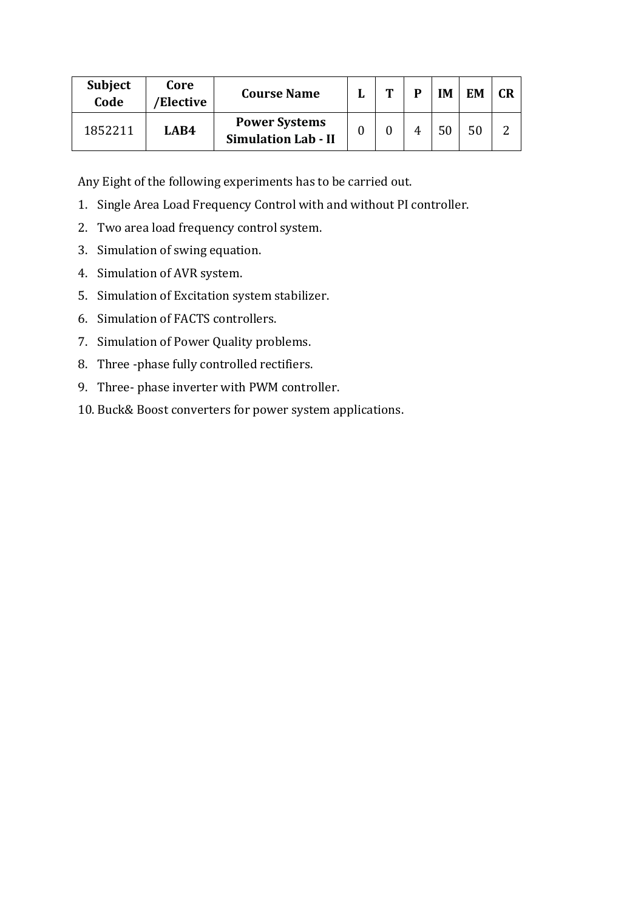| <b>Subject</b><br>Code | Core<br>'Elective | <b>Course Name</b>                                 | $\mathbf{r}$ | D | IM | EM | <b>CR</b> |
|------------------------|-------------------|----------------------------------------------------|--------------|---|----|----|-----------|
| 1852211                | LAB4              | <b>Power Systems</b><br><b>Simulation Lab - II</b> |              |   | 50 |    |           |

Any Eight of the following experiments has to be carried out.

- 1. Single Area Load Frequency Control with and without PI controller.
- 2. Two area load frequency control system.
- 3. Simulation of swing equation.
- 4. Simulation of AVR system.
- 5. Simulation of Excitation system stabilizer.
- 6. Simulation of FACTS controllers.
- 7. Simulation of Power Quality problems.
- 8. Three -phase fully controlled rectifiers.
- 9. Three- phase inverter with PWM controller.
- 10. Buck& Boost converters for power system applications.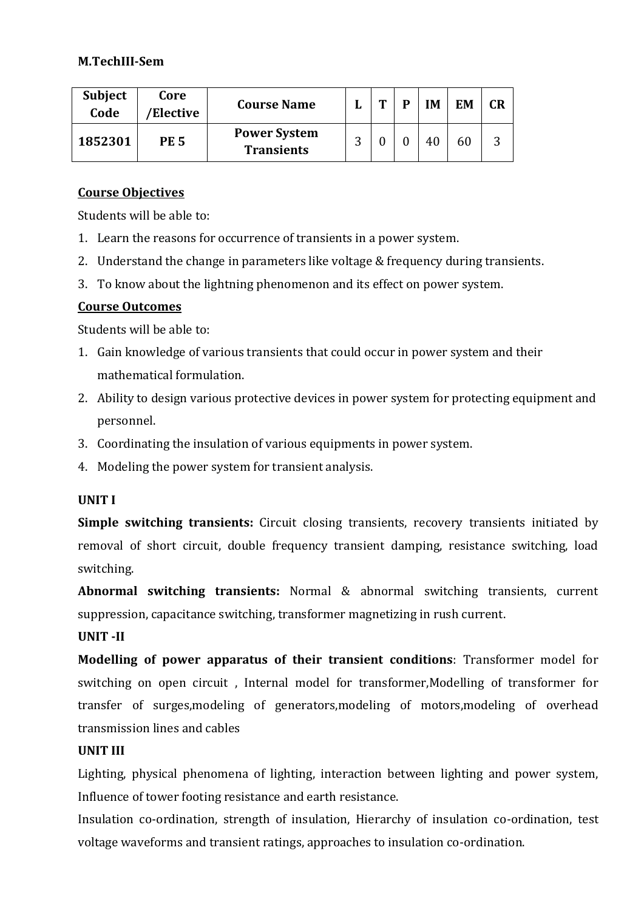#### **M.TechIII-Sem**

| <b>Subject</b><br>Code | Core<br>'Elective | <b>Course Name</b>                       | ≖ | m | D | <b>IM</b> | <b>EM</b> | CR |
|------------------------|-------------------|------------------------------------------|---|---|---|-----------|-----------|----|
| 1852301                | <b>PE 5</b>       | <b>Power System</b><br><b>Transients</b> | ◠ |   |   | 40        | 60        | ว  |

#### **Course Objectives**

Students will be able to:

- 1. Learn the reasons for occurrence of transients in a power system.
- 2. Understand the change in parameters like voltage & frequency during transients.
- 3. To know about the lightning phenomenon and its effect on power system.

### **Course Outcomes**

Students will be able to:

- 1. Gain knowledge of various transients that could occur in power system and their mathematical formulation.
- 2. Ability to design various protective devices in power system for protecting equipment and personnel.
- 3. Coordinating the insulation of various equipments in power system.
- 4. Modeling the power system for transient analysis.

#### **UNIT I**

**Simple switching transients:** Circuit closing transients, recovery transients initiated by removal of short circuit, double frequency transient damping, resistance switching, load switching.

**Abnormal switching transients:** Normal & abnormal switching transients, current suppression, capacitance switching, transformer magnetizing in rush current.

#### **UNIT -II**

**Modelling of power apparatus of their transient conditions**: Transformer model for switching on open circuit , Internal model for transformer,Modelling of transformer for transfer of surges,modeling of generators,modeling of motors,modeling of overhead transmission lines and cables

#### **UNIT III**

Lighting, physical phenomena of lighting, interaction between lighting and power system, Influence of tower footing resistance and earth resistance.

Insulation co-ordination, strength of insulation, Hierarchy of insulation co-ordination, test voltage waveforms and transient ratings, approaches to insulation co-ordination.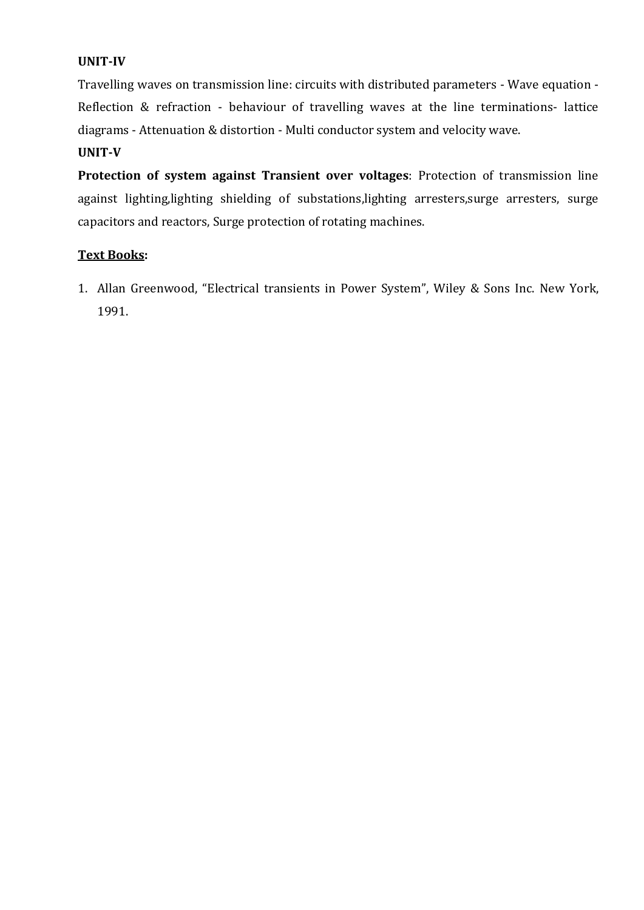### **UNIT-IV**

Travelling waves on transmission line: circuits with distributed parameters - Wave equation - Reflection & refraction - behaviour of travelling waves at the line terminations- lattice diagrams - Attenuation & distortion - Multi conductor system and velocity wave.

### **UNIT-V**

**Protection of system against Transient over voltages**: Protection of transmission line against lighting, lighting shielding of substations, lighting arresters, surge arresters, surge capacitors and reactors, Surge protection of rotating machines.

#### **Text Books:**

1. Allan Greenwood, "Electrical transients in Power System", Wiley & Sons Inc. New York, 1991.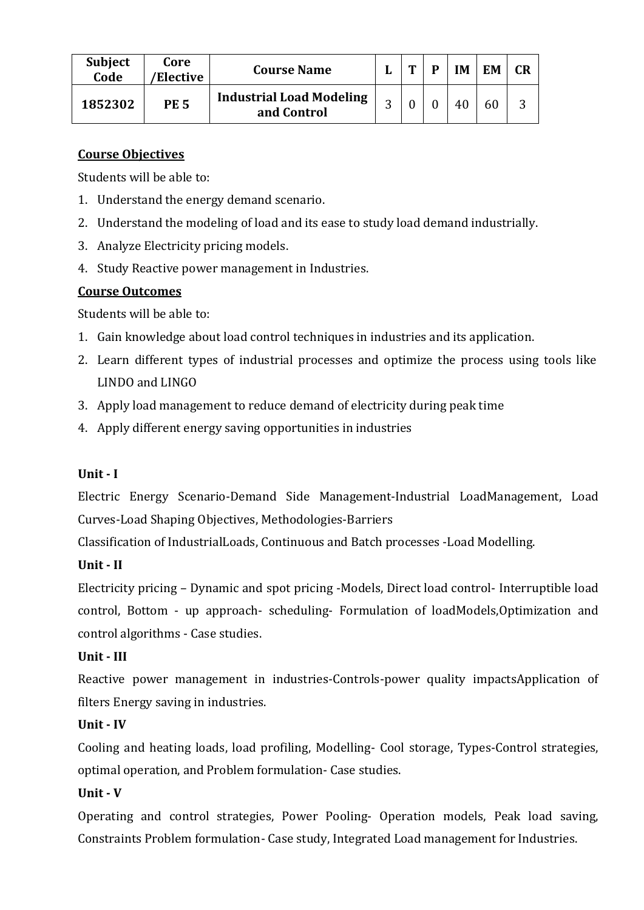| <b>Subject</b><br>Code | Core<br>'Elective | <b>Course Name</b>                             | ш | m | D | <b>IM</b> | EM | <b>CR</b> |
|------------------------|-------------------|------------------------------------------------|---|---|---|-----------|----|-----------|
| 1852302                | <b>PE 5</b>       | <b>Industrial Load Modeling</b><br>and Control | ◠ |   |   | 40        |    |           |

Students will be able to:

- 1. Understand the energy demand scenario.
- 2. Understand the modeling of load and its ease to study load demand industrially.
- 3. Analyze Electricity pricing models.
- 4. Study Reactive power management in Industries.

### **Course Outcomes**

Students will be able to:

- 1. Gain knowledge about load control techniques in industries and its application.
- 2. Learn different types of industrial processes and optimize the process using tools like LINDO and LINGO
- 3. Apply load management to reduce demand of electricity during peak time
- 4. Apply different energy saving opportunities in industries

### **Unit - I**

Electric Energy Scenario-Demand Side Management-Industrial LoadManagement, Load Curves-Load Shaping Objectives, Methodologies-Barriers

Classification of IndustrialLoads, Continuous and Batch processes -Load Modelling.

## **Unit - II**

Electricity pricing – Dynamic and spot pricing -Models, Direct load control- Interruptible load control, Bottom - up approach- scheduling- Formulation of loadModels,Optimization and control algorithms - Case studies.

### **Unit - III**

Reactive power management in industries-Controls-power quality impactsApplication of filters Energy saving in industries.

### **Unit - IV**

Cooling and heating loads, load profiling, Modelling- Cool storage, Types-Control strategies, optimal operation, and Problem formulation- Case studies.

## **Unit - V**

Operating and control strategies, Power Pooling- Operation models, Peak load saving, Constraints Problem formulation- Case study, Integrated Load management for Industries.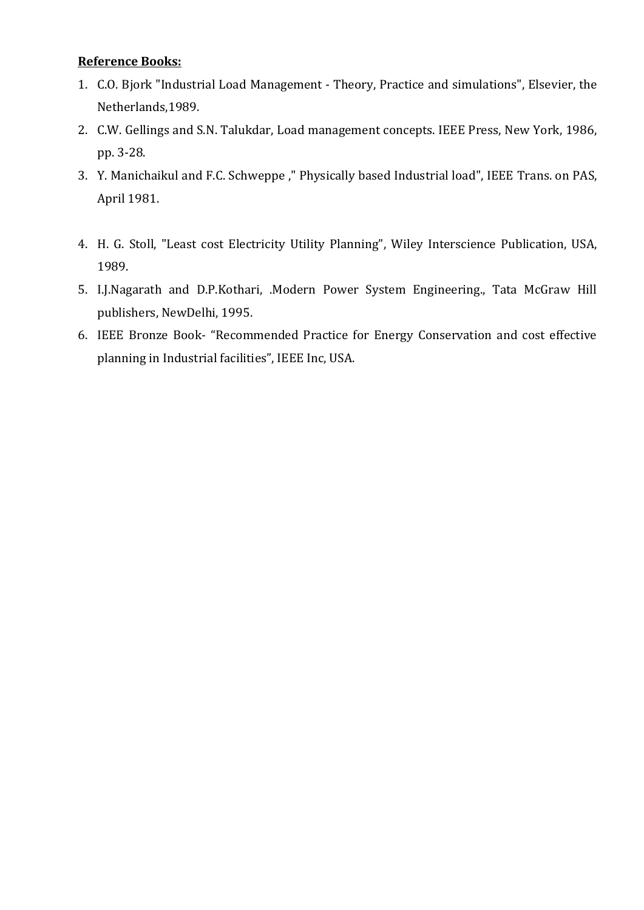#### **Reference Books:**

- 1. C.O. Bjork "Industrial Load Management Theory, Practice and simulations", Elsevier, the Netherlands,1989.
- 2. C.W. Gellings and S.N. Talukdar, Load management concepts. IEEE Press, New York, 1986, pp. 3-28.
- 3. Y. Manichaikul and F.C. Schweppe ," Physically based Industrial load", IEEE Trans. on PAS, April 1981.
- 4. H. G. Stoll, "Least cost Electricity Utility Planning", Wiley Interscience Publication, USA, 1989.
- 5. I.J.Nagarath and D.P.Kothari, .Modern Power System Engineering., Tata McGraw Hill publishers, NewDelhi, 1995.
- 6. IEEE Bronze Book- "Recommended Practice for Energy Conservation and cost effective planning in Industrial facilities", IEEE Inc, USA.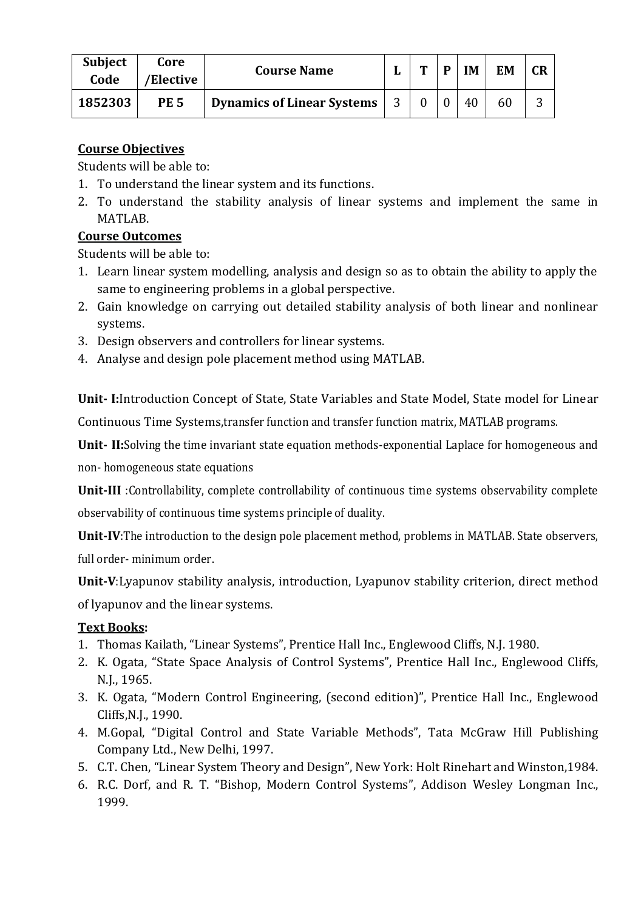| <b>Subject</b><br>Code | Core<br>/Elective | <b>Course Name</b>                |   | m | D | IM | <b>EM</b> | <b>CR</b> |
|------------------------|-------------------|-----------------------------------|---|---|---|----|-----------|-----------|
| 1852303                | <b>PE 5</b>       | <b>Dynamics of Linear Systems</b> | 3 |   |   | 40 | 60        | ◠         |

Students will be able to:

- 1. To understand the linear system and its functions.
- 2. To understand the stability analysis of linear systems and implement the same in MATLAB.

### **Course Outcomes**

Students will be able to:

- 1. Learn linear system modelling, analysis and design so as to obtain the ability to apply the same to engineering problems in a global perspective.
- 2. Gain knowledge on carrying out detailed stability analysis of both linear and nonlinear systems.
- 3. Design observers and controllers for linear systems.
- 4. Analyse and design pole placement method using MATLAB.

**Unit- I:**Introduction Concept of State, State Variables and State Model, State model for Linear Continuous Time Systems,transfer function and transfer function matrix, MATLAB programs.

**Unit- II:**Solving the time invariant state equation methods-exponential Laplace for homogeneous and non- homogeneous state equations

**Unit-III** :Controllability, complete controllability of continuous time systems observability complete observability of continuous time systems principle of duality.

**Unit-IV**:The introduction to the design pole placement method, problems in MATLAB. State observers, full order- minimum order.

**Unit-V**:Lyapunov stability analysis, introduction, Lyapunov stability criterion, direct method of lyapunov and the linear systems.

### **Text Books:**

- 1. Thomas Kailath, "Linear Systems", Prentice Hall Inc., Englewood Cliffs, N.J. 1980.
- 2. K. Ogata, "State Space Analysis of Control Systems", Prentice Hall Inc., Englewood Cliffs, N.J., 1965.
- 3. K. Ogata, "Modern Control Engineering, (second edition)", Prentice Hall Inc., Englewood Cliffs,N.J., 1990.
- 4. M.Gopal, "Digital Control and State Variable Methods", Tata McGraw Hill Publishing Company Ltd., New Delhi, 1997.
- 5. C.T. Chen, "Linear System Theory and Design", New York: Holt Rinehart and Winston,1984.
- 6. R.C. Dorf, and R. T. "Bishop, Modern Control Systems", Addison Wesley Longman Inc., 1999.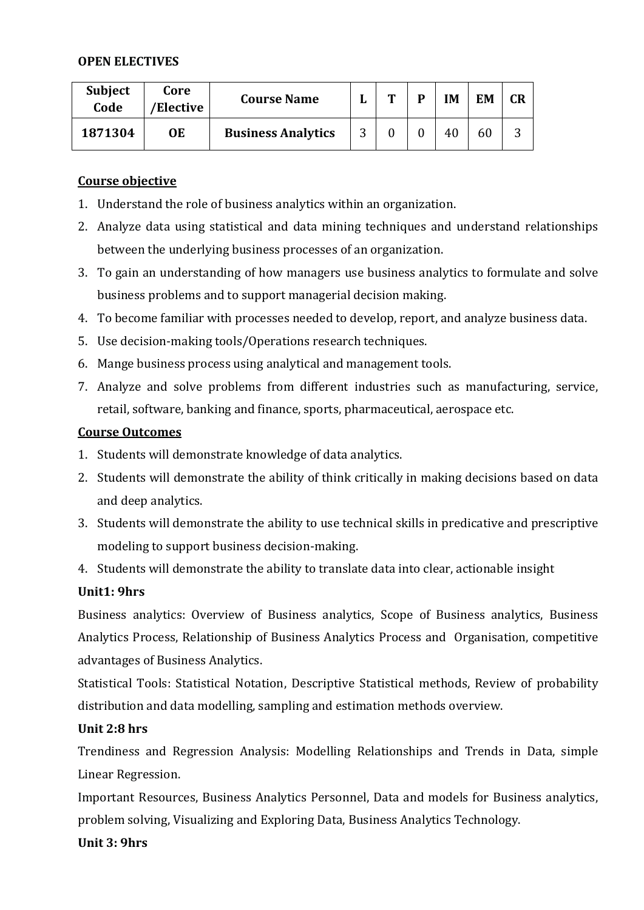#### **OPEN ELECTIVES**

| <b>Subject</b><br>Code | Core<br>'Elective | <b>Course Name</b>        | Т | D | IΜ | EM |   |
|------------------------|-------------------|---------------------------|---|---|----|----|---|
| 1871304                | 0E                | <b>Business Analytics</b> |   |   | 40 | 60 | ັ |

#### **Course objective**

- 1. Understand the role of business analytics within an organization.
- 2. Analyze data using statistical and data mining techniques and understand relationships between the underlying business processes of an organization.
- 3. To gain an understanding of how managers use business analytics to formulate and solve business problems and to support managerial decision making.
- 4. To become familiar with processes needed to develop, report, and analyze business data.
- 5. Use decision-making tools/Operations research techniques.
- 6. Mange business process using analytical and management tools.
- 7. Analyze and solve problems from different industries such as manufacturing, service, retail, software, banking and finance, sports, pharmaceutical, aerospace etc.

#### **Course Outcomes**

- 1. Students will demonstrate knowledge of data analytics.
- 2. Students will demonstrate the ability of think critically in making decisions based on data and deep analytics.
- 3. Students will demonstrate the ability to use technical skills in predicative and prescriptive modeling to support business decision-making.
- 4. Students will demonstrate the ability to translate data into clear, actionable insight

#### **Unit1: 9hrs**

Business analytics: Overview of Business analytics, Scope of Business analytics, Business Analytics Process, Relationship of Business Analytics Process and Organisation, competitive advantages of Business Analytics.

Statistical Tools: Statistical Notation, Descriptive Statistical methods, Review of probability distribution and data modelling, sampling and estimation methods overview.

#### **Unit 2:8 hrs**

Trendiness and Regression Analysis: Modelling Relationships and Trends in Data, simple Linear Regression.

Important Resources, Business Analytics Personnel, Data and models for Business analytics, problem solving, Visualizing and Exploring Data, Business Analytics Technology.

#### **Unit 3: 9hrs**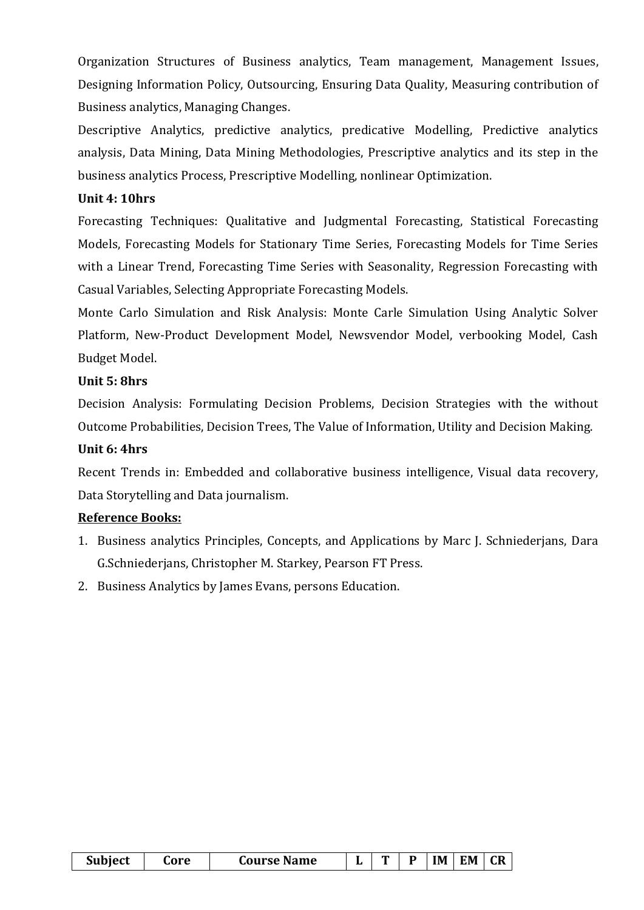Organization Structures of Business analytics, Team management, Management Issues, Designing Information Policy, Outsourcing, Ensuring Data Quality, Measuring contribution of Business analytics, Managing Changes.

Descriptive Analytics, predictive analytics, predicative Modelling, Predictive analytics analysis, Data Mining, Data Mining Methodologies, Prescriptive analytics and its step in the business analytics Process, Prescriptive Modelling, nonlinear Optimization.

#### **Unit 4: 10hrs**

Forecasting Techniques: Qualitative and Judgmental Forecasting, Statistical Forecasting Models, Forecasting Models for Stationary Time Series, Forecasting Models for Time Series with a Linear Trend, Forecasting Time Series with Seasonality, Regression Forecasting with Casual Variables, Selecting Appropriate Forecasting Models.

Monte Carlo Simulation and Risk Analysis: Monte Carle Simulation Using Analytic Solver Platform, New-Product Development Model, Newsvendor Model, verbooking Model, Cash Budget Model.

#### **Unit 5: 8hrs**

Decision Analysis: Formulating Decision Problems, Decision Strategies with the without Outcome Probabilities, Decision Trees, The Value of Information, Utility and Decision Making.

#### **Unit 6: 4hrs**

Recent Trends in: Embedded and collaborative business intelligence, Visual data recovery, Data Storytelling and Data journalism.

#### **Reference Books:**

- 1. Business analytics Principles, Concepts, and Applications by Marc J. Schniederjans, Dara G.Schniederjans, Christopher M. Starkey, Pearson FT Press.
- 2. Business Analytics by James Evans, persons Education.

| Subject | core | <b>Course Name</b> |  |  |  | IM | $\mathsf{I}$ EM | $\overline{\phantom{a}}$ CR |
|---------|------|--------------------|--|--|--|----|-----------------|-----------------------------|
|---------|------|--------------------|--|--|--|----|-----------------|-----------------------------|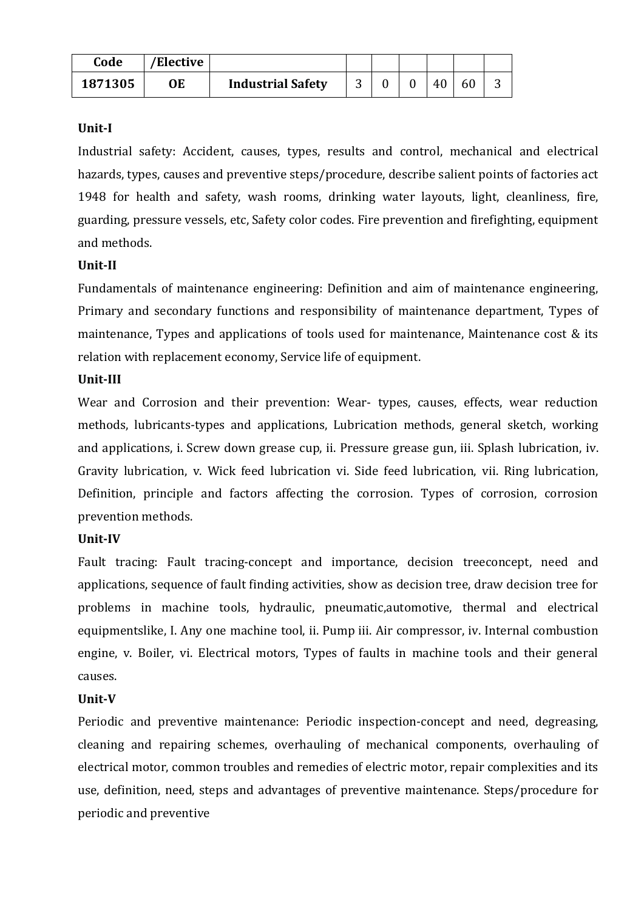| Code    | 'Elective |                          |   |  |    |  |
|---------|-----------|--------------------------|---|--|----|--|
| 1871305 | ОE        | <b>Industrial Safety</b> | ⌒ |  | 40 |  |

#### **Unit-I**

Industrial safety: Accident, causes, types, results and control, mechanical and electrical hazards, types, causes and preventive steps/procedure, describe salient points of factories act 1948 for health and safety, wash rooms, drinking water layouts, light, cleanliness, fire, guarding, pressure vessels, etc, Safety color codes. Fire prevention and firefighting, equipment and methods.

#### **Unit-II**

Fundamentals of maintenance engineering: Definition and aim of maintenance engineering, Primary and secondary functions and responsibility of maintenance department, Types of maintenance, Types and applications of tools used for maintenance, Maintenance cost & its relation with replacement economy, Service life of equipment.

#### **Unit-III**

Wear and Corrosion and their prevention: Wear- types, causes, effects, wear reduction methods, lubricants-types and applications, Lubrication methods, general sketch, working and applications, i. Screw down grease cup, ii. Pressure grease gun, iii. Splash lubrication, iv. Gravity lubrication, v. Wick feed lubrication vi. Side feed lubrication, vii. Ring lubrication, Definition, principle and factors affecting the corrosion. Types of corrosion, corrosion prevention methods.

#### **Unit-IV**

Fault tracing: Fault tracing-concept and importance, decision treeconcept, need and applications, sequence of fault finding activities, show as decision tree, draw decision tree for problems in machine tools, hydraulic, pneumatic,automotive, thermal and electrical equipmentslike, I. Any one machine tool, ii. Pump iii. Air compressor, iv. Internal combustion engine, v. Boiler, vi. Electrical motors, Types of faults in machine tools and their general causes.

#### **Unit-V**

Periodic and preventive maintenance: Periodic inspection-concept and need, degreasing, cleaning and repairing schemes, overhauling of mechanical components, overhauling of electrical motor, common troubles and remedies of electric motor, repair complexities and its use, definition, need, steps and advantages of preventive maintenance. Steps/procedure for periodic and preventive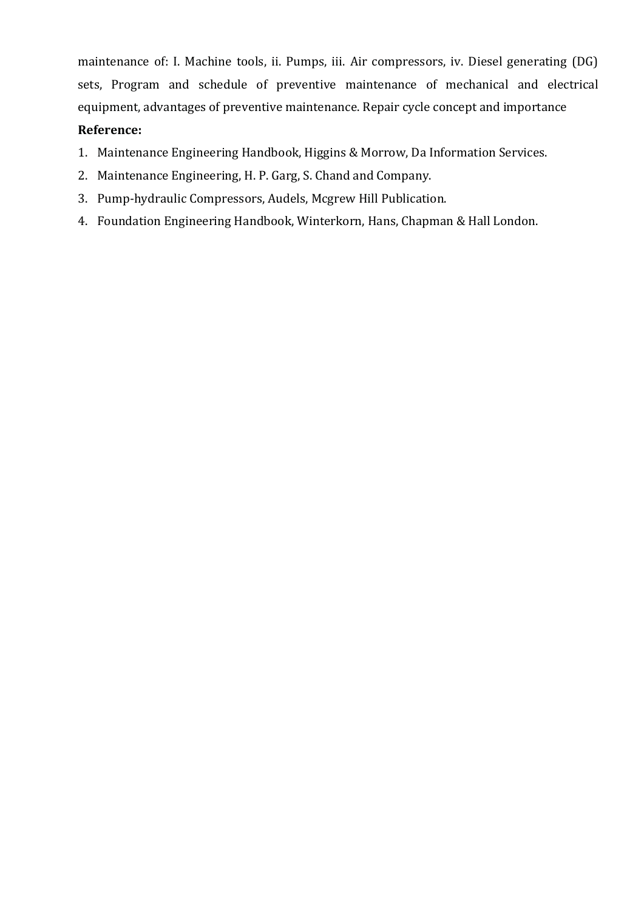maintenance of: I. Machine tools, ii. Pumps, iii. Air compressors, iv. Diesel generating (DG) sets, Program and schedule of preventive maintenance of mechanical and electrical equipment, advantages of preventive maintenance. Repair cycle concept and importance **Reference:**

- 1. Maintenance Engineering Handbook, Higgins & Morrow, Da Information Services.
- 2. Maintenance Engineering, H. P. Garg, S. Chand and Company.
- 3. Pump-hydraulic Compressors, Audels, Mcgrew Hill Publication.
- 4. Foundation Engineering Handbook, Winterkorn, Hans, Chapman & Hall London.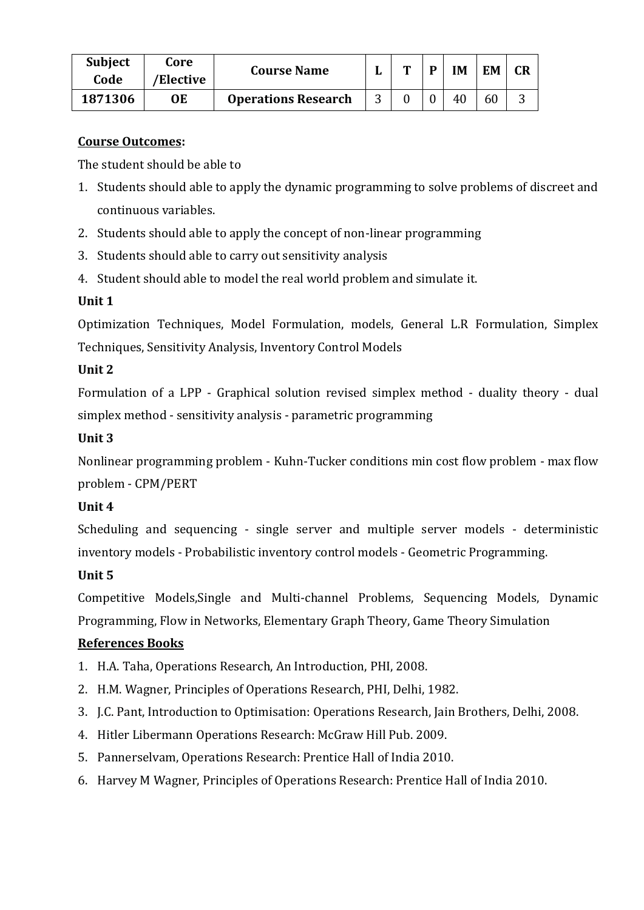| <b>Subject</b><br>Code | Core<br>'Elective | <b>Course Name</b>         | m | D | IM | EM |  |
|------------------------|-------------------|----------------------------|---|---|----|----|--|
| 1871306                | OЕ                | <b>Operations Research</b> |   |   | 40 | 60 |  |

### **Course Outcomes:**

The student should be able to

- 1. Students should able to apply the dynamic programming to solve problems of discreet and continuous variables.
- 2. Students should able to apply the concept of non-linear programming
- 3. Students should able to carry out sensitivity analysis
- 4. Student should able to model the real world problem and simulate it.

## **Unit 1**

Optimization Techniques, Model Formulation, models, General L.R Formulation, Simplex Techniques, Sensitivity Analysis, Inventory Control Models

### **Unit 2**

Formulation of a LPP - Graphical solution revised simplex method - duality theory - dual simplex method - sensitivity analysis - parametric programming

### **Unit 3**

Nonlinear programming problem - Kuhn-Tucker conditions min cost flow problem - max flow problem - CPM/PERT

### **Unit 4**

Scheduling and sequencing - single server and multiple server models - deterministic inventory models - Probabilistic inventory control models - Geometric Programming.

## **Unit 5**

Competitive Models,Single and Multi-channel Problems, Sequencing Models, Dynamic Programming, Flow in Networks, Elementary Graph Theory, Game Theory Simulation

## **References Books**

- 1. H.A. Taha, Operations Research, An Introduction, PHI, 2008.
- 2. H.M. Wagner, Principles of Operations Research, PHI, Delhi, 1982.
- 3. J.C. Pant, Introduction to Optimisation: Operations Research, Jain Brothers, Delhi, 2008.
- 4. Hitler Libermann Operations Research: McGraw Hill Pub. 2009.
- 5. Pannerselvam, Operations Research: Prentice Hall of India 2010.
- 6. Harvey M Wagner, Principles of Operations Research: Prentice Hall of India 2010.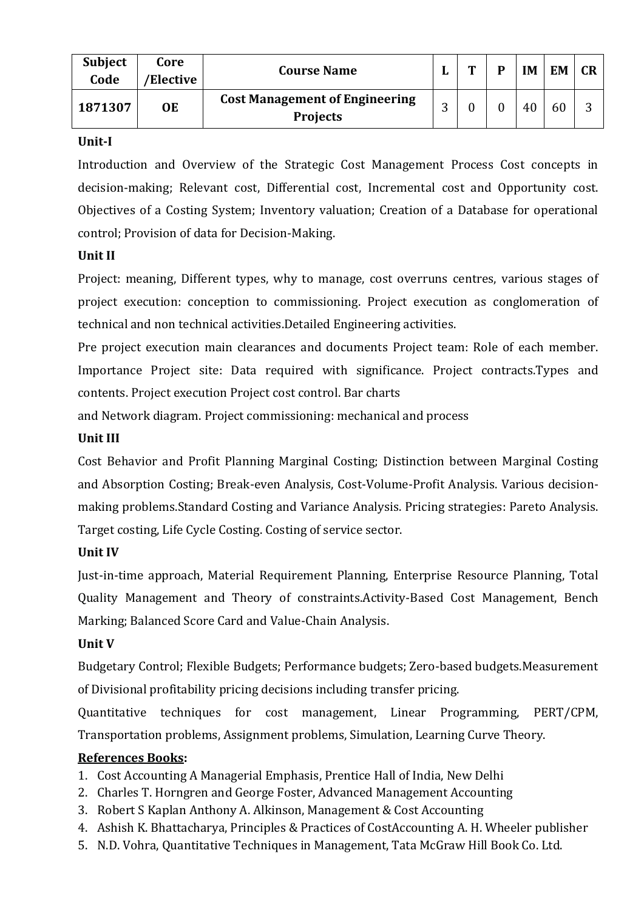| <b>Subject</b><br>Code | Core<br>'Elective | <b>Course Name</b>                                       | ш        | m | D | <b>IM</b> | <b>EM</b> | <b>CR</b> |
|------------------------|-------------------|----------------------------------------------------------|----------|---|---|-----------|-----------|-----------|
| 1871307                | OE                | <b>Cost Management of Engineering</b><br><b>Projects</b> | ⌒<br>. . |   |   | 40        | 60        | ⌒         |

#### **Unit-I**

Introduction and Overview of the Strategic Cost Management Process Cost concepts in decision-making; Relevant cost, Differential cost, Incremental cost and Opportunity cost. Objectives of a Costing System; Inventory valuation; Creation of a Database for operational control; Provision of data for Decision-Making.

#### **Unit II**

Project: meaning, Different types, why to manage, cost overruns centres, various stages of project execution: conception to commissioning. Project execution as conglomeration of technical and non technical activities.Detailed Engineering activities.

Pre project execution main clearances and documents Project team: Role of each member. Importance Project site: Data required with significance. Project contracts.Types and contents. Project execution Project cost control. Bar charts

and Network diagram. Project commissioning: mechanical and process

#### **Unit III**

Cost Behavior and Profit Planning Marginal Costing; Distinction between Marginal Costing and Absorption Costing; Break-even Analysis, Cost-Volume-Profit Analysis. Various decisionmaking problems.Standard Costing and Variance Analysis. Pricing strategies: Pareto Analysis. Target costing, Life Cycle Costing. Costing of service sector.

### **Unit IV**

Just-in-time approach, Material Requirement Planning, Enterprise Resource Planning, Total Quality Management and Theory of constraints.Activity-Based Cost Management, Bench Marking; Balanced Score Card and Value-Chain Analysis.

#### **Unit V**

Budgetary Control; Flexible Budgets; Performance budgets; Zero-based budgets.Measurement of Divisional profitability pricing decisions including transfer pricing.

Quantitative techniques for cost management, Linear Programming, PERT/CPM, Transportation problems, Assignment problems, Simulation, Learning Curve Theory.

### **References Books:**

- 1. Cost Accounting A Managerial Emphasis, Prentice Hall of India, New Delhi
- 2. Charles T. Horngren and George Foster, Advanced Management Accounting
- 3. Robert S Kaplan Anthony A. Alkinson, Management & Cost Accounting
- 4. Ashish K. Bhattacharya, Principles & Practices of CostAccounting A. H. Wheeler publisher
- 5. N.D. Vohra, Quantitative Techniques in Management, Tata McGraw Hill Book Co. Ltd.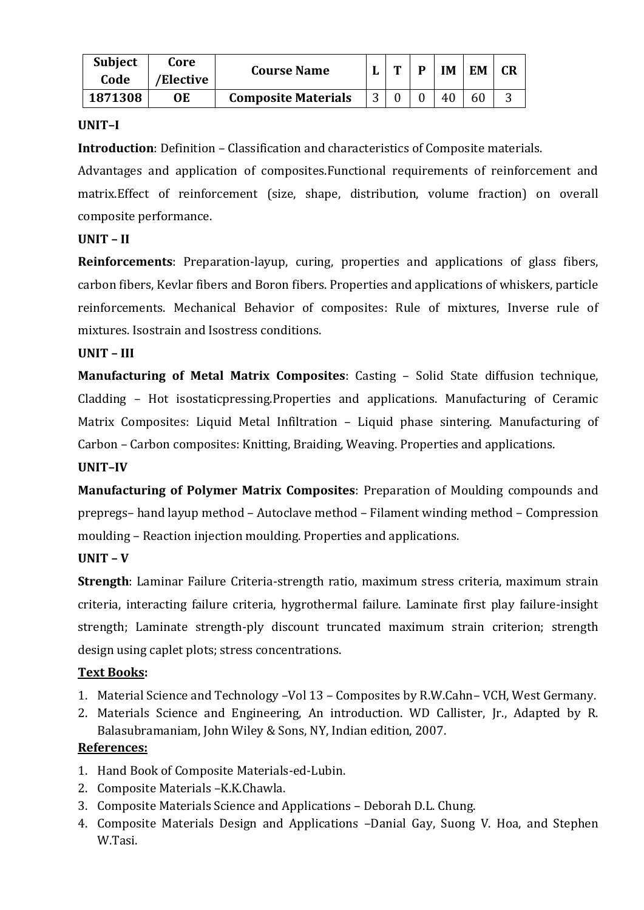| <b>Subject</b><br>Code | Core<br>'Elective | <b>Course Name</b>         | m | D | IM | <b>EM</b> | CR |
|------------------------|-------------------|----------------------------|---|---|----|-----------|----|
| 1871308                | OЕ                | <b>Composite Materials</b> |   |   | 40 | 60        |    |

#### **UNIT–I**

**Introduction**: Definition – Classification and characteristics of Composite materials.

Advantages and application of composites.Functional requirements of reinforcement and matrix.Effect of reinforcement (size, shape, distribution, volume fraction) on overall composite performance.

### **UNIT – II**

**Reinforcements**: Preparation-layup, curing, properties and applications of glass fibers, carbon fibers, Kevlar fibers and Boron fibers. Properties and applications of whiskers, particle reinforcements. Mechanical Behavior of composites: Rule of mixtures, Inverse rule of mixtures. Isostrain and Isostress conditions.

### **UNIT – III**

**Manufacturing of Metal Matrix Composites**: Casting – Solid State diffusion technique, Cladding – Hot isostaticpressing.Properties and applications. Manufacturing of Ceramic Matrix Composites: Liquid Metal Infiltration – Liquid phase sintering. Manufacturing of Carbon – Carbon composites: Knitting, Braiding, Weaving. Properties and applications.

#### **UNIT–IV**

**Manufacturing of Polymer Matrix Composites**: Preparation of Moulding compounds and prepregs– hand layup method – Autoclave method – Filament winding method – Compression moulding – Reaction injection moulding. Properties and applications.

### **UNIT – V**

**Strength**: Laminar Failure Criteria-strength ratio, maximum stress criteria, maximum strain criteria, interacting failure criteria, hygrothermal failure. Laminate first play failure-insight strength; Laminate strength-ply discount truncated maximum strain criterion; strength design using caplet plots; stress concentrations.

### **Text Books:**

- 1. Material Science and Technology –Vol 13 Composites by R.W.Cahn– VCH, West Germany.
- 2. Materials Science and Engineering, An introduction. WD Callister, Jr., Adapted by R. Balasubramaniam, John Wiley & Sons, NY, Indian edition, 2007.

### **References:**

- 1. Hand Book of Composite Materials-ed-Lubin.
- 2. Composite Materials –K.K.Chawla.
- 3. Composite Materials Science and Applications Deborah D.L. Chung.
- 4. Composite Materials Design and Applications –Danial Gay, Suong V. Hoa, and Stephen W.Tasi.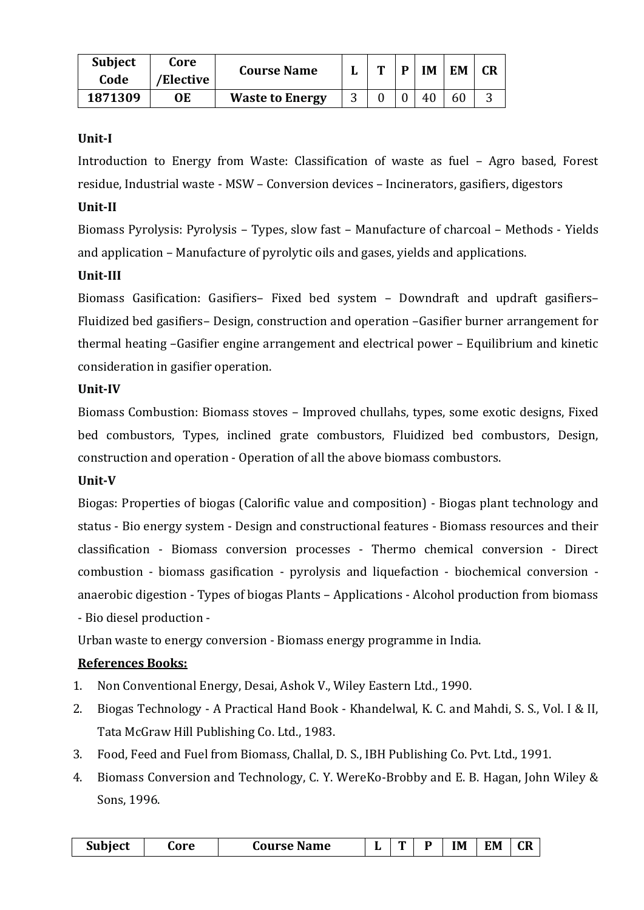| <b>Subject</b><br>Code | Core<br>'Elective | <b>Course Name</b>     |   | m | D | IM | <b>EM</b> | CR |
|------------------------|-------------------|------------------------|---|---|---|----|-----------|----|
| 1871309                | OE                | <b>Waste to Energy</b> | ັ |   |   | 46 | 60        |    |

#### **Unit-I**

Introduction to Energy from Waste: Classification of waste as fuel – Agro based, Forest residue, Industrial waste - MSW – Conversion devices – Incinerators, gasifiers, digestors

#### **Unit-II**

Biomass Pyrolysis: Pyrolysis – Types, slow fast – Manufacture of charcoal – Methods - Yields and application – Manufacture of pyrolytic oils and gases, yields and applications.

#### **Unit-III**

Biomass Gasification: Gasifiers– Fixed bed system – Downdraft and updraft gasifiers– Fluidized bed gasifiers– Design, construction and operation –Gasifier burner arrangement for thermal heating –Gasifier engine arrangement and electrical power – Equilibrium and kinetic consideration in gasifier operation.

#### **Unit-IV**

Biomass Combustion: Biomass stoves – Improved chullahs, types, some exotic designs, Fixed bed combustors, Types, inclined grate combustors, Fluidized bed combustors, Design, construction and operation - Operation of all the above biomass combustors.

#### **Unit-V**

Biogas: Properties of biogas (Calorific value and composition) - Biogas plant technology and status - Bio energy system - Design and constructional features - Biomass resources and their classification - Biomass conversion processes - Thermo chemical conversion - Direct combustion - biomass gasification - pyrolysis and liquefaction - biochemical conversion anaerobic digestion - Types of biogas Plants – Applications - Alcohol production from biomass - Bio diesel production -

Urban waste to energy conversion - Biomass energy programme in India.

### **References Books:**

- 1. Non Conventional Energy, Desai, Ashok V., Wiley Eastern Ltd., 1990.
- 2. Biogas Technology A Practical Hand Book Khandelwal, K. C. and Mahdi, S. S., Vol. I & II, Tata McGraw Hill Publishing Co. Ltd., 1983.
- 3. Food, Feed and Fuel from Biomass, Challal, D. S., IBH Publishing Co. Pvt. Ltd., 1991.
- 4. Biomass Conversion and Technology, C. Y. WereKo-Brobby and E. B. Hagan, John Wiley & Sons, 1996.

| Subject | core | Course Name |  | m |  | IM | EM | rп<br>ЧN |
|---------|------|-------------|--|---|--|----|----|----------|
|---------|------|-------------|--|---|--|----|----|----------|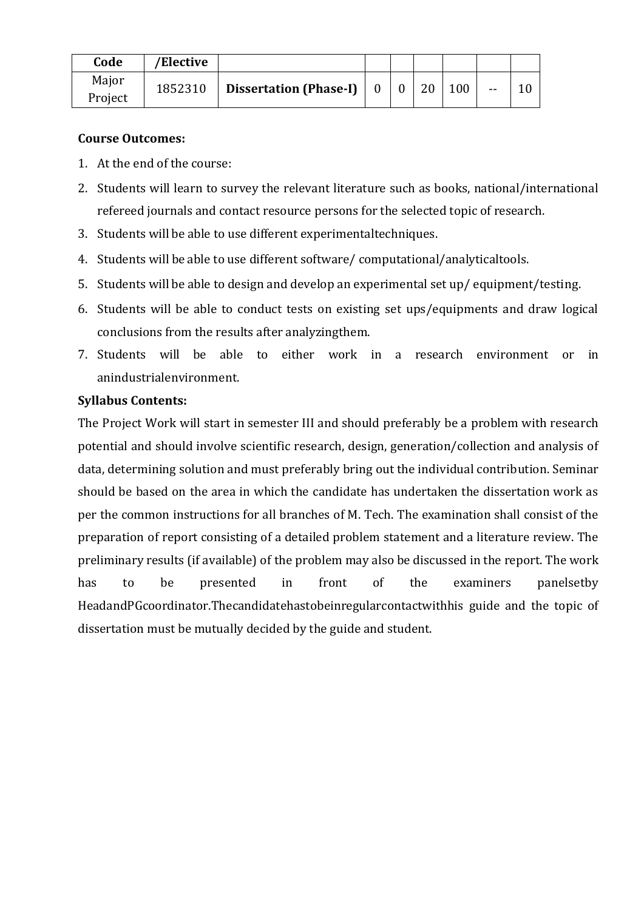| Code    | 'Elective |                                                                              |  |    |     |       |  |
|---------|-----------|------------------------------------------------------------------------------|--|----|-----|-------|--|
| Major   | 1852310   | <b>Dissertation (Phase-I)</b> $\begin{bmatrix} 0 & 0 \\ 0 & 0 \end{bmatrix}$ |  | 20 | 100 | $- -$ |  |
| Project |           |                                                                              |  |    |     |       |  |

#### **Course Outcomes:**

- 1. At the end of the course:
- 2. Students will learn to survey the relevant literature such as books, national/international refereed journals and contact resource persons for the selected topic of research.
- 3. Students will be able to use different experimentaltechniques.
- 4. Students will be able to use different software/ computational/analyticaltools.
- 5. Students will be able to design and develop an experimental set up/ equipment/testing.
- 6. Students will be able to conduct tests on existing set ups/equipments and draw logical conclusions from the results after analyzingthem.
- 7. Students will be able to either work in a research environment or in anindustrialenvironment.

#### **Syllabus Contents:**

The Project Work will start in semester III and should preferably be a problem with research potential and should involve scientific research, design, generation/collection and analysis of data, determining solution and must preferably bring out the individual contribution. Seminar should be based on the area in which the candidate has undertaken the dissertation work as per the common instructions for all branches of M. Tech. The examination shall consist of the preparation of report consisting of a detailed problem statement and a literature review. The preliminary results (if available) of the problem may also be discussed in the report. The work has to be presented in front of the examiners panelsetby HeadandPGcoordinator.Thecandidatehastobeinregularcontactwithhis guide and the topic of dissertation must be mutually decided by the guide and student.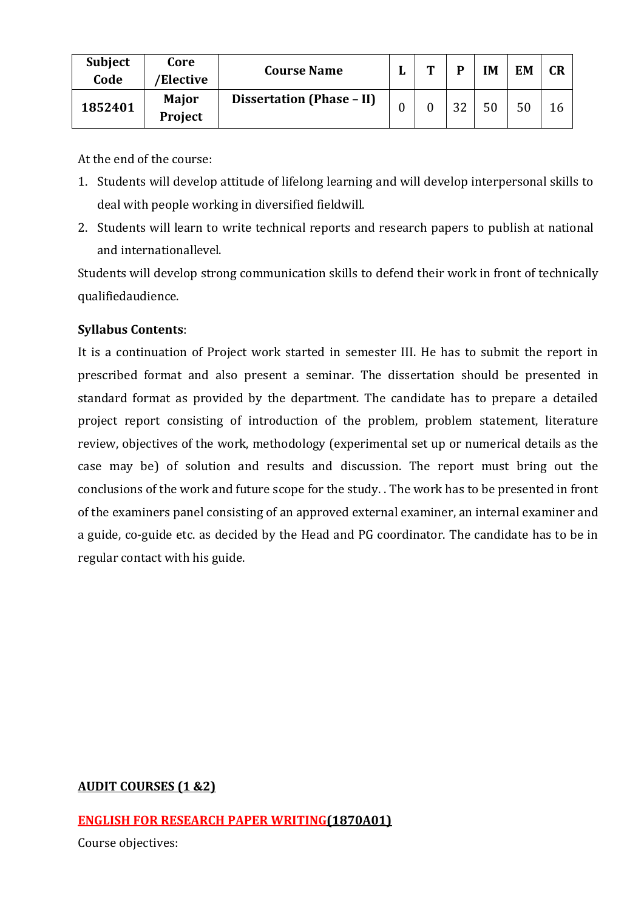| <b>Subject</b><br>Code | Core<br>'Elective | <b>Course Name</b>        | m | D  | IΜ | EM | <b>CR</b> |
|------------------------|-------------------|---------------------------|---|----|----|----|-----------|
| 1852401                | Major<br>Project  | Dissertation (Phase - II) |   | 32 | 50 |    |           |

At the end of the course:

- 1. Students will develop attitude of lifelong learning and will develop interpersonal skills to deal with people working in diversified fieldwill.
- 2. Students will learn to write technical reports and research papers to publish at national and internationallevel.

Students will develop strong communication skills to defend their work in front of technically qualifiedaudience.

### **Syllabus Contents**:

It is a continuation of Project work started in semester III. He has to submit the report in prescribed format and also present a seminar. The dissertation should be presented in standard format as provided by the department. The candidate has to prepare a detailed project report consisting of introduction of the problem, problem statement, literature review, objectives of the work, methodology (experimental set up or numerical details as the case may be) of solution and results and discussion. The report must bring out the conclusions of the work and future scope for the study. . The work has to be presented in front of the examiners panel consisting of an approved external examiner, an internal examiner and a guide, co-guide etc. as decided by the Head and PG coordinator. The candidate has to be in regular contact with his guide.

### **AUDIT COURSES (1 &2)**

### **ENGLISH FOR RESEARCH PAPER WRITING(1870A01)**

Course objectives: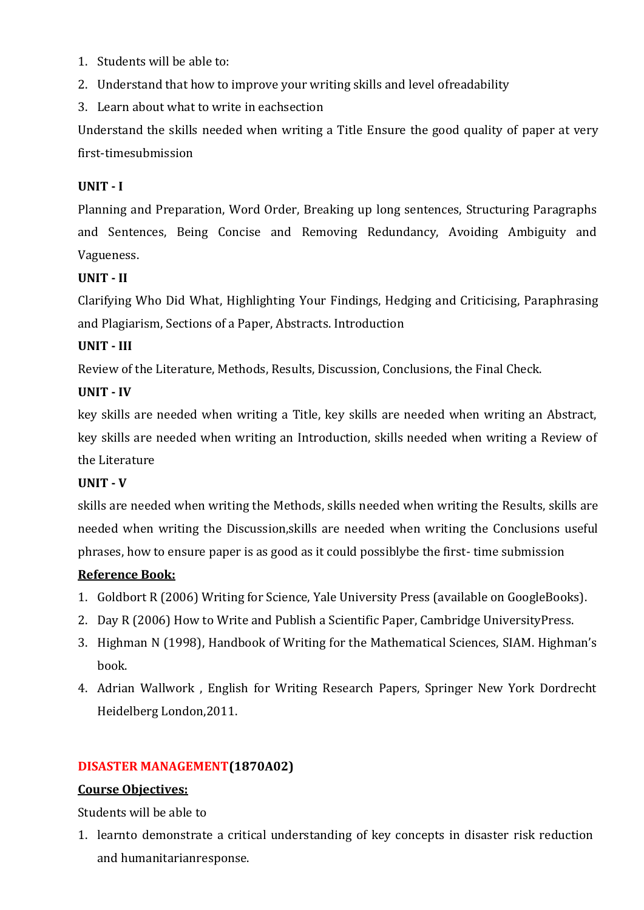- 1. Students will be able to:
- 2. Understand that how to improve your writing skills and level ofreadability
- 3. Learn about what to write in eachsection

Understand the skills needed when writing a Title Ensure the good quality of paper at very first-timesubmission

#### **UNIT - I**

Planning and Preparation, Word Order, Breaking up long sentences, Structuring Paragraphs and Sentences, Being Concise and Removing Redundancy, Avoiding Ambiguity and Vagueness.

#### **UNIT - II**

Clarifying Who Did What, Highlighting Your Findings, Hedging and Criticising, Paraphrasing and Plagiarism, Sections of a Paper, Abstracts. Introduction

#### **UNIT - III**

Review of the Literature, Methods, Results, Discussion, Conclusions, the Final Check.

#### **UNIT - IV**

key skills are needed when writing a Title, key skills are needed when writing an Abstract, key skills are needed when writing an Introduction, skills needed when writing a Review of the Literature

#### **UNIT - V**

skills are needed when writing the Methods, skills needed when writing the Results, skills are needed when writing the Discussion,skills are needed when writing the Conclusions useful phrases, how to ensure paper is as good as it could possiblybe the first- time submission

### **Reference Book:**

- 1. Goldbort R (2006) Writing for Science, Yale University Press (available on GoogleBooks).
- 2. Day R (2006) How to Write and Publish a Scientific Paper, Cambridge UniversityPress.
- 3. Highman N (1998), Handbook of Writing for the Mathematical Sciences, SIAM. Highman's book.
- 4. Adrian Wallwork , English for Writing Research Papers, Springer New York Dordrecht Heidelberg London,2011.

#### **DISASTER MANAGEMENT(1870A02)**

#### **Course Objectives:**

Students will be able to

1. learnto demonstrate a critical understanding of key concepts in disaster risk reduction and humanitarianresponse.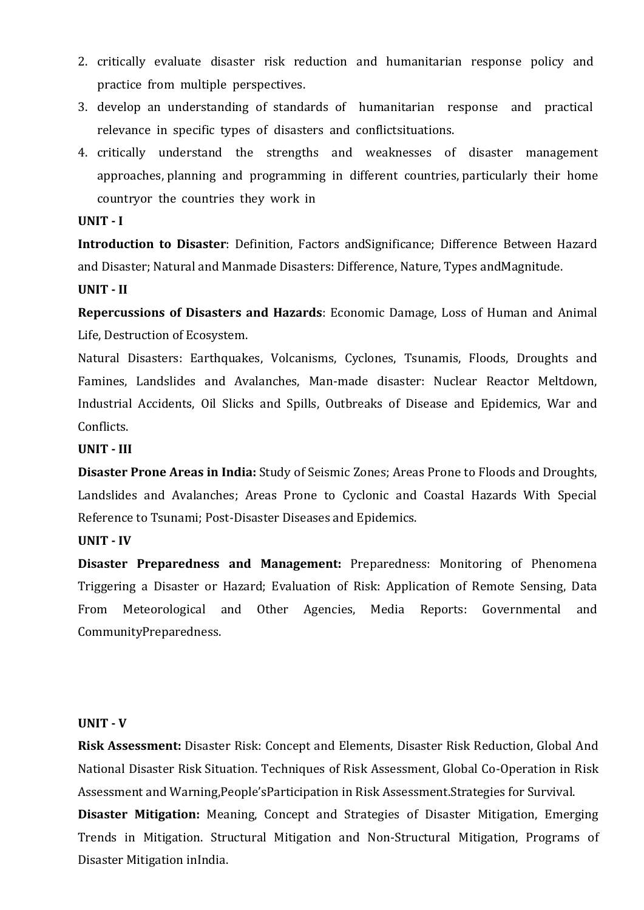- 2. critically evaluate disaster risk reduction and humanitarian response policy and practice from multiple perspectives.
- 3. develop an understanding of standards of humanitarian response and practical relevance in specific types of disasters and conflictsituations.
- 4. critically understand the strengths and weaknesses of disaster management approaches, planning and programming in different countries, particularly their home countryor the countries they work in

#### **UNIT - I**

**Introduction to Disaster**: Definition, Factors andSignificance; Difference Between Hazard and Disaster; Natural and Manmade Disasters: Difference, Nature, Types andMagnitude.

**UNIT - II**

**Repercussions of Disasters and Hazards**: Economic Damage, Loss of Human and Animal Life, Destruction of Ecosystem.

Natural Disasters: Earthquakes, Volcanisms, Cyclones, Tsunamis, Floods, Droughts and Famines, Landslides and Avalanches, Man-made disaster: Nuclear Reactor Meltdown, Industrial Accidents, Oil Slicks and Spills, Outbreaks of Disease and Epidemics, War and Conflicts.

#### **UNIT - III**

**Disaster Prone Areas in India:** Study of Seismic Zones; Areas Prone to Floods and Droughts, Landslides and Avalanches; Areas Prone to Cyclonic and Coastal Hazards With Special Reference to Tsunami; Post-Disaster Diseases and Epidemics.

#### **UNIT - IV**

**Disaster Preparedness and Management:** Preparedness: Monitoring of Phenomena Triggering a Disaster or Hazard; Evaluation of Risk: Application of Remote Sensing, Data From Meteorological and Other Agencies, Media Reports: Governmental and CommunityPreparedness.

#### **UNIT - V**

**Risk Assessment:** Disaster Risk: Concept and Elements, Disaster Risk Reduction, Global And National Disaster Risk Situation. Techniques of Risk Assessment, Global Co-Operation in Risk Assessment and Warning,People'sParticipation in Risk Assessment.Strategies for Survival.

**Disaster Mitigation:** Meaning, Concept and Strategies of Disaster Mitigation, Emerging Trends in Mitigation. Structural Mitigation and Non-Structural Mitigation, Programs of Disaster Mitigation inIndia.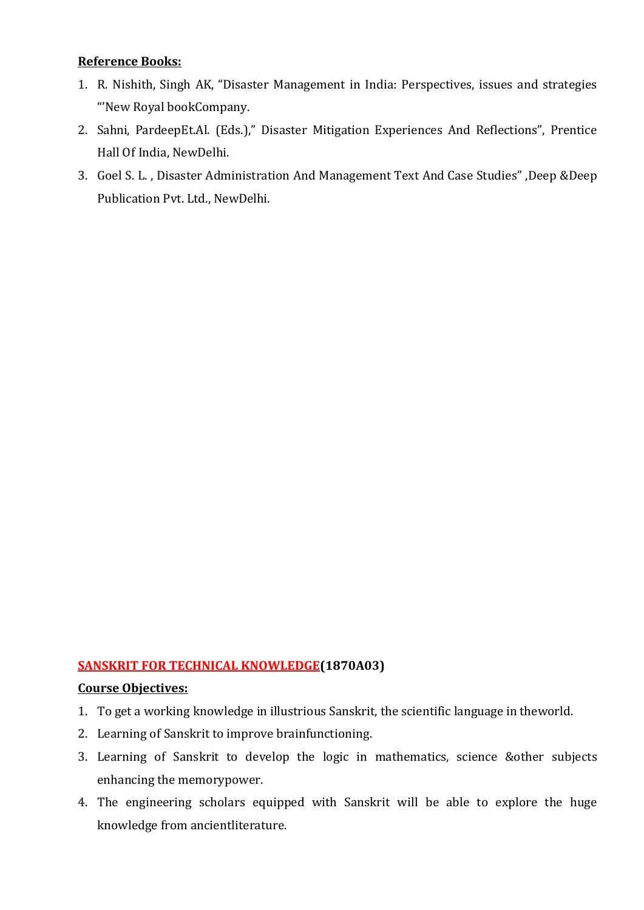#### **Reference Books:**

- 1. R. Nishith, Singh AK, "Disaster Management in India: Perspectives, issues and strategies "'New Royal bookCompany.
- 2. Sahni, PardeepEt.Al. (Eds.)," Disaster Mitigation Experiences And Reflections", Prentice Hall Of India, NewDelhi.
- 3. Goel S. L. , Disaster Administration And Management Text And Case Studies" ,Deep &Deep Publication Pvt. Ltd., NewDelhi.

#### **SANSKRIT FOR TECHNICAL KNOWLEDGE(1870A03)**

#### **Course Objectives:**

- 1. To get a working knowledge in illustrious Sanskrit, the scientific language in theworld.
- 2. Learning of Sanskrit to improve brainfunctioning.
- 3. Learning of Sanskrit to develop the logic in mathematics, science &other subjects enhancing the memorypower.
- 4. The engineering scholars equipped with Sanskrit will be able to explore the huge knowledge from ancientliterature.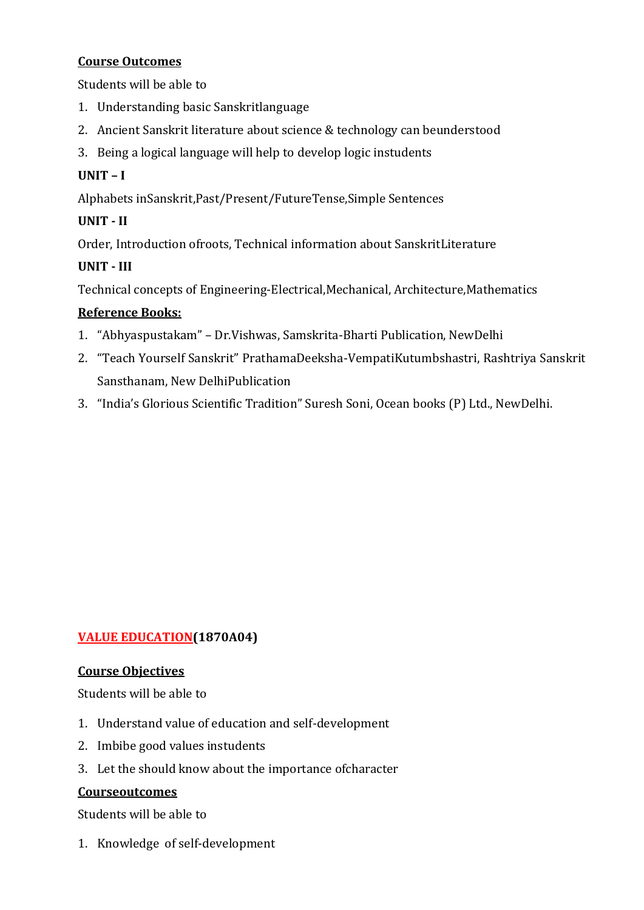#### **Course Outcomes**

Students will be able to

- 1. Understanding basic Sanskritlanguage
- 2. Ancient Sanskrit literature about science & technology can beunderstood
- 3. Being a logical language will help to develop logic instudents

### **UNIT – I**

Alphabets inSanskrit,Past/Present/FutureTense,Simple Sentences

### **UNIT - II**

Order, Introduction ofroots, Technical information about SanskritLiterature

### **UNIT - III**

Technical concepts of Engineering-Electrical,Mechanical, Architecture,Mathematics

### **Reference Books:**

- 1. "Abhyaspustakam" Dr.Vishwas, Samskrita-Bharti Publication, NewDelhi
- 2. "Teach Yourself Sanskrit" PrathamaDeeksha-VempatiKutumbshastri, Rashtriya Sanskrit Sansthanam, New DelhiPublication
- 3. "India's Glorious Scientific Tradition" Suresh Soni, Ocean books (P) Ltd., NewDelhi.

## **VALUE EDUCATION(1870A04)**

### **Course Objectives**

Students will be able to

- 1. Understand value of education and self-development
- 2. Imbibe good values instudents
- 3. Let the should know about the importance ofcharacter

### **Courseoutcomes**

Students will be able to

1. Knowledge of self-development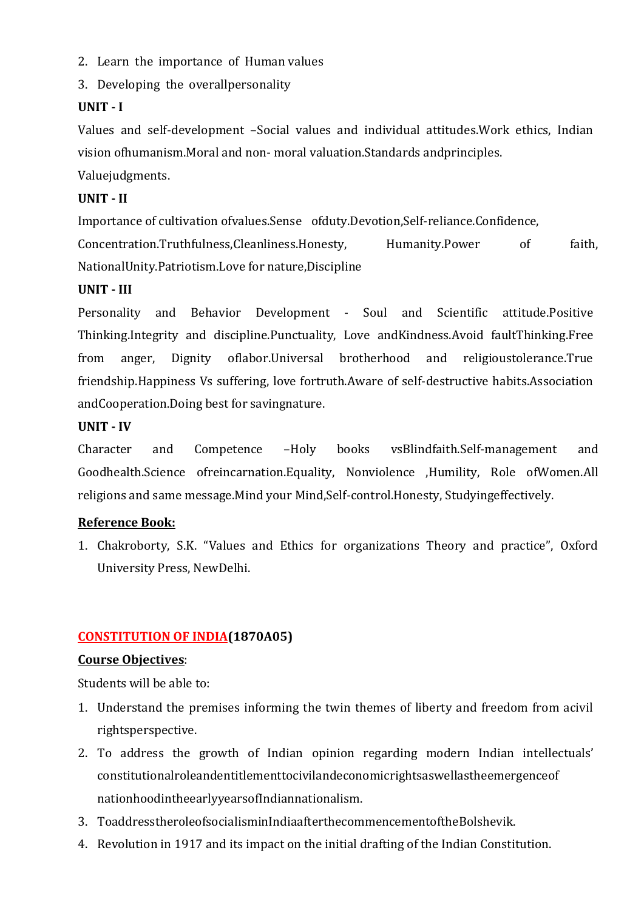- 2. Learn the importance of Human values
- 3. Developing the overallpersonality

### **UNIT - I**

Values and self-development –Social values and individual attitudes.Work ethics, Indian vision ofhumanism.Moral and non- moral valuation.Standards andprinciples.

Valuejudgments.

### **UNIT - II**

Importance of cultivation ofvalues.Sense ofduty.Devotion,Self-reliance.Confidence, Concentration.Truthfulness,Cleanliness.Honesty, Humanity.Power of faith, NationalUnity.Patriotism.Love for nature,Discipline

#### **UNIT - III**

Personality and Behavior Development - Soul and Scientific attitude.Positive Thinking.Integrity and discipline.Punctuality, Love andKindness.Avoid faultThinking.Free from anger, Dignity oflabor.Universal brotherhood and religioustolerance.True friendship.Happiness Vs suffering, love fortruth.Aware of self-destructive habits.Association andCooperation.Doing best for savingnature.

### **UNIT - IV**

Character and Competence –Holy books vsBlindfaith.Self-management and Goodhealth.Science ofreincarnation.Equality, Nonviolence ,Humility, Role ofWomen.All religions and same message.Mind your Mind,Self-control.Honesty, Studyingeffectively.

### **Reference Book:**

1. Chakroborty, S.K. "Values and Ethics for organizations Theory and practice", Oxford University Press, NewDelhi.

### **CONSTITUTION OF INDIA(1870A05)**

#### **Course Objectives**:

Students will be able to:

- 1. Understand the premises informing the twin themes of liberty and freedom from acivil rightsperspective.
- 2. To address the growth of Indian opinion regarding modern Indian intellectuals' constitutionalroleandentitlementtocivilandeconomicrightsaswellastheemergenceof nationhoodintheearlyyearsofIndiannationalism.
- 3. ToaddresstheroleofsocialisminIndiaafterthecommencementoftheBolshevik.
- 4. Revolution in 1917 and its impact on the initial drafting of the Indian Constitution.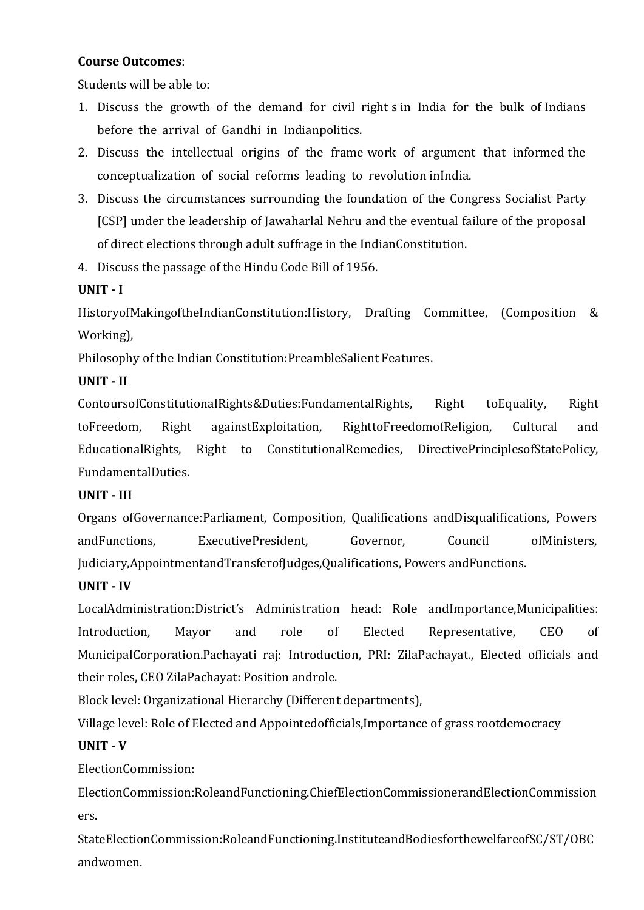#### **Course Outcomes**:

Students will be able to:

- 1. Discuss the growth of the demand for civil right s in India for the bulk of Indians before the arrival of Gandhi in Indianpolitics.
- 2. Discuss the intellectual origins of the frame work of argument that informed the conceptualization of social reforms leading to revolution inIndia.
- 3. Discuss the circumstances surrounding the foundation of the Congress Socialist Party [CSP] under the leadership of Jawaharlal Nehru and the eventual failure of the proposal of direct elections through adult suffrage in the IndianConstitution.
- 4. Discuss the passage of the Hindu Code Bill of 1956.

### **UNIT - I**

HistoryofMakingoftheIndianConstitution:History, Drafting Committee, (Composition & Working),

Philosophy of the Indian Constitution:PreambleSalient Features.

### **UNIT - II**

ContoursofConstitutionalRights&Duties:FundamentalRights, Right toEquality, Right toFreedom, Right againstExploitation, RighttoFreedomofReligion, Cultural and EducationalRights, Right to ConstitutionalRemedies, DirectivePrinciplesofStatePolicy, FundamentalDuties.

### **UNIT - III**

Organs ofGovernance:Parliament, Composition, Qualifications andDisqualifications, Powers andFunctions, ExecutivePresident, Governor, Council ofMinisters, Judiciary,AppointmentandTransferofJudges,Qualifications, Powers andFunctions.

### **UNIT - IV**

LocalAdministration:District's Administration head: Role andImportance,Municipalities: Introduction, Mayor and role of Elected Representative, CEO of MunicipalCorporation.Pachayati raj: Introduction, PRI: ZilaPachayat., Elected officials and their roles, CEO ZilaPachayat: Position androle.

Block level: Organizational Hierarchy (Different departments),

Village level: Role of Elected and Appointedofficials,Importance of grass rootdemocracy

### **UNIT - V**

ElectionCommission:

ElectionCommission:RoleandFunctioning.ChiefElectionCommissionerandElectionCommission ers.

StateElectionCommission:RoleandFunctioning.InstituteandBodiesforthewelfareofSC/ST/OBC andwomen.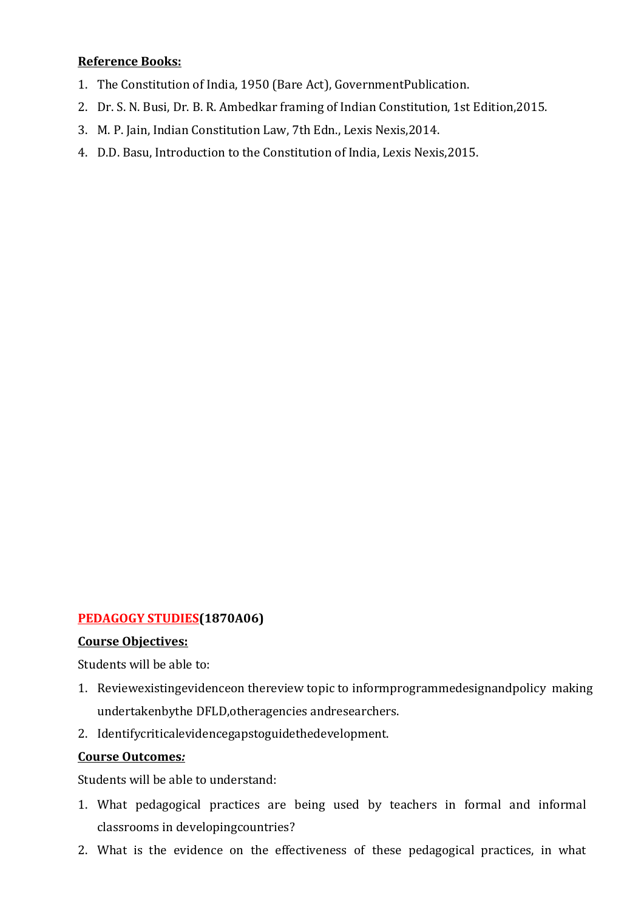#### **Reference Books:**

- 1. The Constitution of India, 1950 (Bare Act), GovernmentPublication.
- 2. Dr. S. N. Busi, Dr. B. R. Ambedkar framing of Indian Constitution, 1st Edition,2015.
- 3. M. P. Jain, Indian Constitution Law, 7th Edn., Lexis Nexis,2014.
- 4. D.D. Basu, Introduction to the Constitution of India, Lexis Nexis,2015.

### **PEDAGOGY STUDIES(1870A06)**

#### **Course Objectives:**

Students will be able to:

- 1. Reviewexistingevidenceon thereview topic to informprogrammedesignandpolicy making undertakenbythe DFLD,otheragencies andresearchers.
- 2. Identifycriticalevidencegapstoguidethedevelopment.

#### **Course Outcomes***:*

Students will be able to understand:

- 1. What pedagogical practices are being used by teachers in formal and informal classrooms in developingcountries?
- 2. What is the evidence on the effectiveness of these pedagogical practices, in what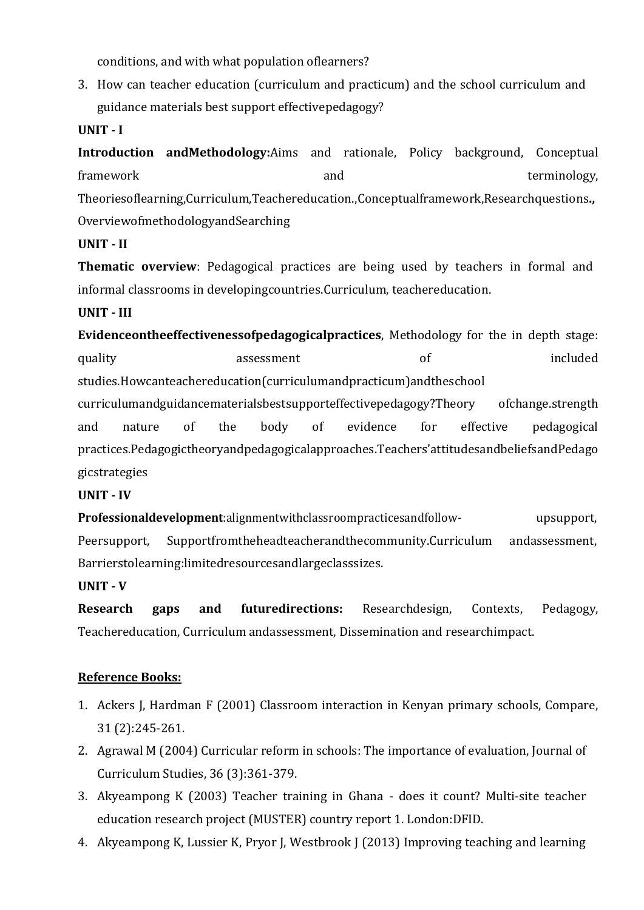conditions, and with what population oflearners?

3. How can teacher education (curriculum and practicum) and the school curriculum and guidance materials best support effectivepedagogy?

**UNIT - I**

**Introduction andMethodology:**Aims and rationale, Policy background, Conceptual framework and terminology, the state of the state of the state of the state of terminology, Theoriesoflearning,Curriculum,Teachereducation.,Conceptualframework,Researchquestions**.,**  OverviewofmethodologyandSearching

**UNIT - II**

**Thematic overview**: Pedagogical practices are being used by teachers in formal and informal classrooms in developingcountries.Curriculum, teachereducation.

**UNIT - III**

**Evidenceontheeffectivenessofpedagogicalpractices**, Methodology for the in depth stage: quality assessment of included studies.Howcanteachereducation(curriculumandpracticum)andtheschool curriculumandguidancematerialsbestsupporteffectivepedagogy?Theory ofchange.strength and nature of the body of evidence for effective pedagogical

practices.Pedagogictheoryandpedagogicalapproaches.Teachers'attitudesandbeliefsandPedago gicstrategies

### **UNIT - IV**

**Professionaldevelopment**:alignmentwithclassroompracticesandfollow- upsupport, Peersupport, Supportfromtheheadteacherandthecommunity.Curriculum andassessment, Barrierstolearning:limitedresourcesandlargeclasssizes.

#### **UNIT - V**

**Research gaps and futuredirections:** Researchdesign, Contexts, Pedagogy, Teachereducation, Curriculum andassessment, Dissemination and researchimpact.

### **Reference Books:**

- 1. Ackers J, Hardman F (2001) Classroom interaction in Kenyan primary schools, Compare, 31 (2):245-261.
- 2. Agrawal M (2004) Curricular reform in schools: The importance of evaluation, Journal of Curriculum Studies, 36 (3):361-379.
- 3. Akyeampong K (2003) Teacher training in Ghana does it count? Multi-site teacher education research project (MUSTER) country report 1. London:DFID.
- 4. Akyeampong K, Lussier K, Pryor J, Westbrook J (2013) Improving teaching and learning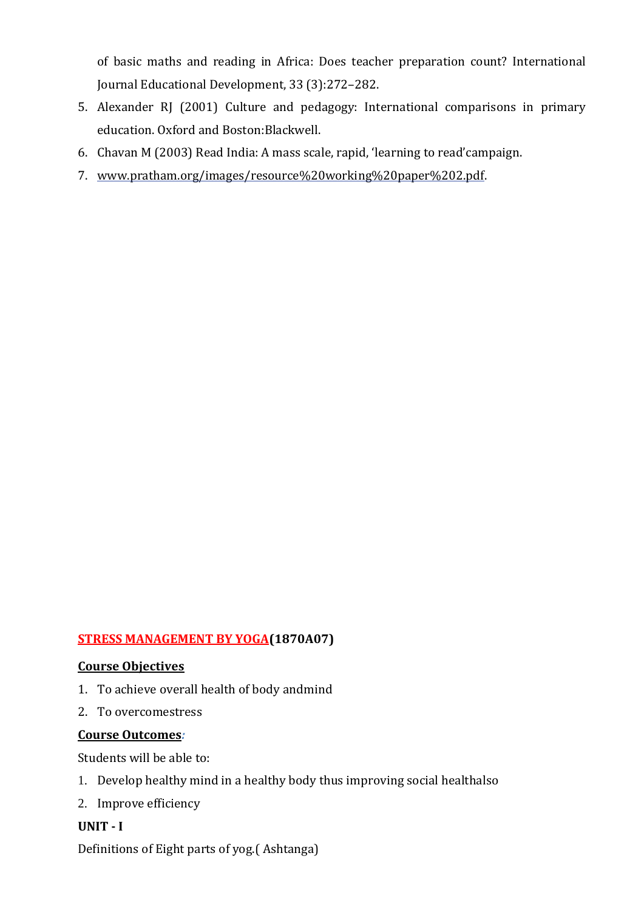of basic maths and reading in Africa: Does teacher preparation count? International Journal Educational Development, 33 (3):272–282.

- 5. Alexander RJ (2001) Culture and pedagogy: International comparisons in primary education. Oxford and Boston:Blackwell.
- 6. Chavan M (2003) Read India: A mass scale, rapid, 'learning to read'campaign.
- 7. [www.pratham.org/images/resource%20working%20paper%202.pdf.](http://www.pratham.org/images/resource%20working%20paper%202.pdf)

### **STRESS MANAGEMENT BY YOGA(1870A07)**

#### **Course Objectives**

- 1. To achieve overall health of body andmind
- 2. To overcomestress

#### **Course Outcomes***:*

Students will be able to:

- 1. Develop healthy mind in a healthy body thus improving social healthalso
- 2. Improve efficiency

### **UNIT - I**

Definitions of Eight parts of yog.( Ashtanga)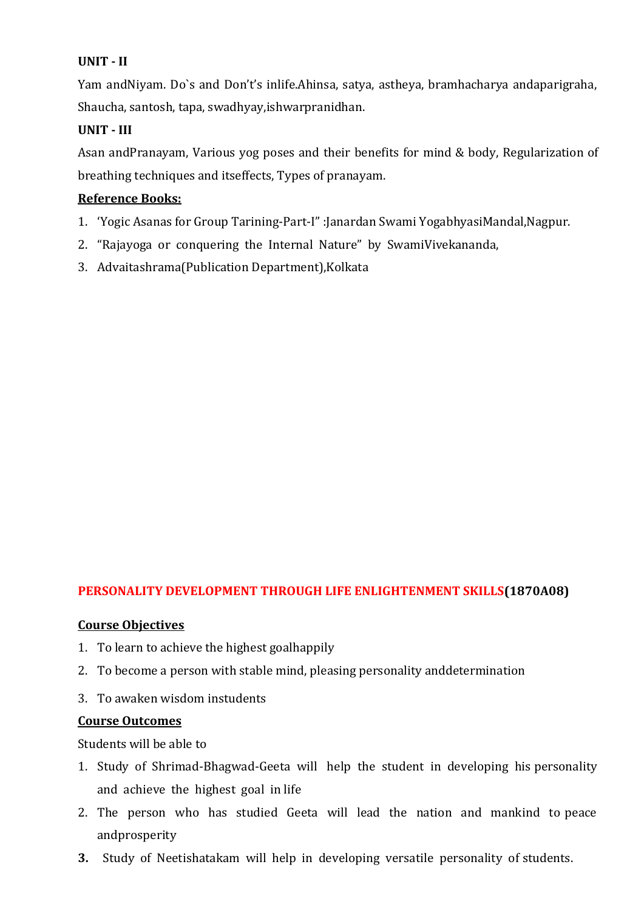### **UNIT - II**

Yam andNiyam. Do`s and Don't's inlife.Ahinsa, satya, astheya, bramhacharya andaparigraha, Shaucha, santosh, tapa, swadhyay,ishwarpranidhan.

### **UNIT - III**

Asan andPranayam, Various yog poses and their benefits for mind & body, Regularization of breathing techniques and itseffects, Types of pranayam.

### **Reference Books:**

- 1. 'Yogic Asanas for Group Tarining-Part-I" :Janardan Swami YogabhyasiMandal,Nagpur.
- 2. "Rajayoga or conquering the Internal Nature" by SwamiVivekananda,
- 3. Advaitashrama(Publication Department),Kolkata

## **PERSONALITY DEVELOPMENT THROUGH LIFE ENLIGHTENMENT SKILLS(1870A08)**

#### **Course Objectives**

- 1. To learn to achieve the highest goalhappily
- 2. To become a person with stable mind, pleasing personality anddetermination
- 3. To awaken wisdom instudents

#### **Course Outcomes**

Students will be able to

- 1. Study of Shrimad-Bhagwad-Geeta will help the student in developing his personality and achieve the highest goal in life
- 2. The person who has studied Geeta will lead the nation and mankind to peace andprosperity
- **3.** Study of Neetishatakam will help in developing versatile personality of students.